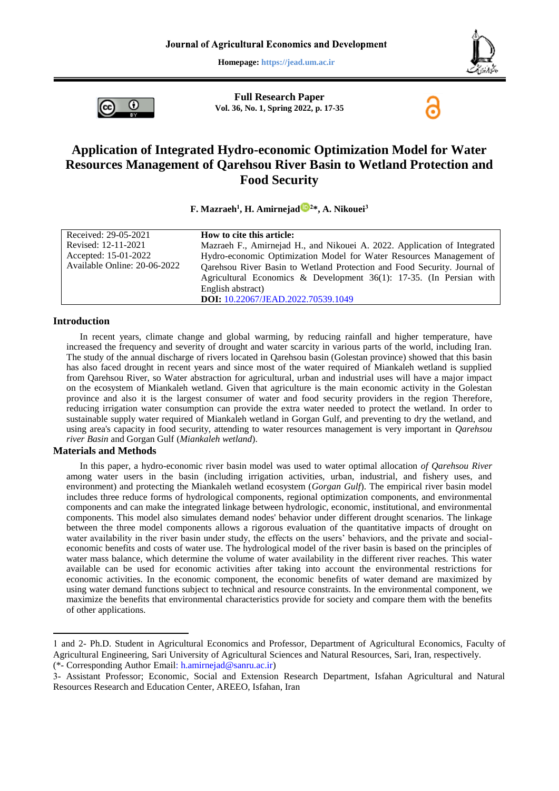**Homepage: https://jead.um.ac.ir**



ω

**Full Research Paper Vol. 36, No. 1, Spring 2022, p. 17-35**

# **Application of Integrated Hydro-economic Optimization Model for Water Resources Management of Qarehsou River Basin to Wetland Protection and Food Security**

### **F. Mazraeh<sup>1</sup> , H. Amirnejad <sup>2</sup>\*, A. Nikouei<sup>3</sup>**

| Received: 29-05-2021         | How to cite this article:                                                |
|------------------------------|--------------------------------------------------------------------------|
| Revised: 12-11-2021          | Mazraeh F., Amirnejad H., and Nikouei A. 2022. Application of Integrated |
| Accepted: 15-01-2022         | Hydro-economic Optimization Model for Water Resources Management of      |
| Available Online: 20-06-2022 | Qarehsou River Basin to Wetland Protection and Food Security. Journal of |
|                              | Agricultural Economics & Development $36(1)$ : 17-35. (In Persian with   |
|                              | English abstract)                                                        |
|                              | DOI: 10.22067/JEAD.2022.70539.1049                                       |

#### **Introduction**

In recent years, climate change and global warming, by reducing rainfall and higher temperature, have increased the frequency and severity of drought and water scarcity in various parts of the world, including Iran. The study of the annual discharge of rivers located in Qarehsou basin (Golestan province) showed that this basin has also faced drought in recent years and since most of the water required of Miankaleh wetland is supplied from Qarehsou River, so Water abstraction for agricultural, urban and industrial uses will have a major impact on the ecosystem of Miankaleh wetland. Given that agriculture is the main economic activity in the Golestan province and also it is the largest consumer of water and food security providers in the region Therefore, reducing irrigation water consumption can provide the extra water needed to protect the wetland. In order to sustainable supply water required of Miankaleh wetland in Gorgan Gulf, and preventing to dry the wetland, and using area's capacity in food security, attending to water resources management is very important in *Qarehsou river Basin* and Gorgan Gulf (*Miankaleh wetland*).

### **Materials and Methods**

1

In this paper, a hydro-economic river basin model was used to water optimal allocation *of Qarehsou River* among water users in the basin (including irrigation activities, urban, industrial, and fishery uses, and environment) and protecting the Miankaleh wetland ecosystem (*Gorgan Gulf*). The empirical river basin model includes three reduce forms of hydrological components, regional optimization components, and environmental components and can make the integrated linkage between hydrologic, economic, institutional, and environmental components. This model also simulates demand nodes' behavior under different drought scenarios. The linkage between the three model components allows a rigorous evaluation of the quantitative impacts of drought on water availability in the river basin under study, the effects on the users' behaviors, and the private and socialeconomic benefits and costs of water use. The hydrological model of the river basin is based on the principles of water mass balance, which determine the volume of water availability in the different river reaches. This water available can be used for economic activities after taking into account the environmental restrictions for economic activities. In the economic component, the economic benefits of water demand are maximized by using water demand functions subject to technical and resource constraints. In the environmental component, we maximize the benefits that environmental characteristics provide for society and compare them with the benefits of other applications.

<sup>1</sup> and 2- Ph.D. Student in Agricultural Economics and Professor, Department of Agricultural Economics, Faculty of Agricultural Engineering, Sari University of Agricultural Sciences and Natural Resources, Sari, Iran, respectively.

<sup>(\*-</sup> Corresponding Author [Email: h.amirnejad@sanru.ac.ir\)](mailto:h.amirnejad@sanru.ac.ir)

<sup>3-</sup> Assistant Professor; Economic, Social and Extension Research Department, Isfahan Agricultural and Natural Resources Research and Education Center, AREEO, Isfahan, Iran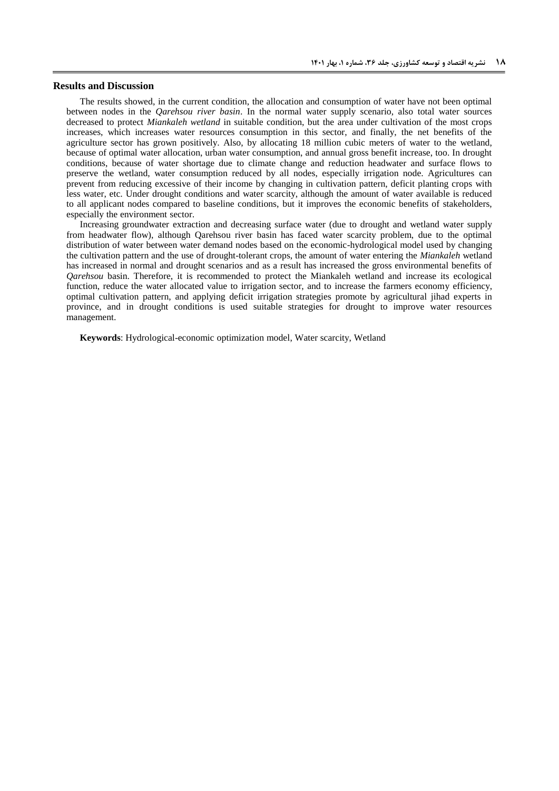### **Results and Discussion**

The results showed, in the current condition, the allocation and consumption of water have not been optimal between nodes in the *Qarehsou river basin*. In the normal water supply scenario, also total water sources decreased to protect *Miankaleh wetland* in suitable condition, but the area under cultivation of the most crops increases, which increases water resources consumption in this sector, and finally, the net benefits of the agriculture sector has grown positively. Also, by allocating 18 million cubic meters of water to the wetland, because of optimal water allocation, urban water consumption, and annual gross benefit increase, too. In drought conditions, because of water shortage due to climate change and reduction headwater and surface flows to preserve the wetland, water consumption reduced by all nodes, especially irrigation node. Agricultures can prevent from reducing excessive of their income by changing in cultivation pattern, deficit planting crops with less water, etc. Under drought conditions and water scarcity, although the amount of water available is reduced to all applicant nodes compared to baseline conditions, but it improves the economic benefits of stakeholders, especially the environment sector.

Increasing groundwater extraction and decreasing surface water (due to drought and wetland water supply from headwater flow), although Qarehsou river basin has faced water scarcity problem, due to the optimal distribution of water between water demand nodes based on the economic-hydrological model used by changing the cultivation pattern and the use of drought-tolerant crops, the amount of water entering the *Miankaleh* wetland has increased in normal and drought scenarios and as a result has increased the gross environmental benefits of *Qarehsou* basin. Therefore, it is recommended to protect the Miankaleh wetland and increase its ecological function, reduce the water allocated value to irrigation sector, and to increase the farmers economy efficiency, optimal cultivation pattern, and applying deficit irrigation strategies promote by agricultural jihad experts in province, and in drought conditions is used suitable strategies for drought to improve water resources management.

**Keywords**: Hydrological-economic optimization model, Water scarcity, Wetland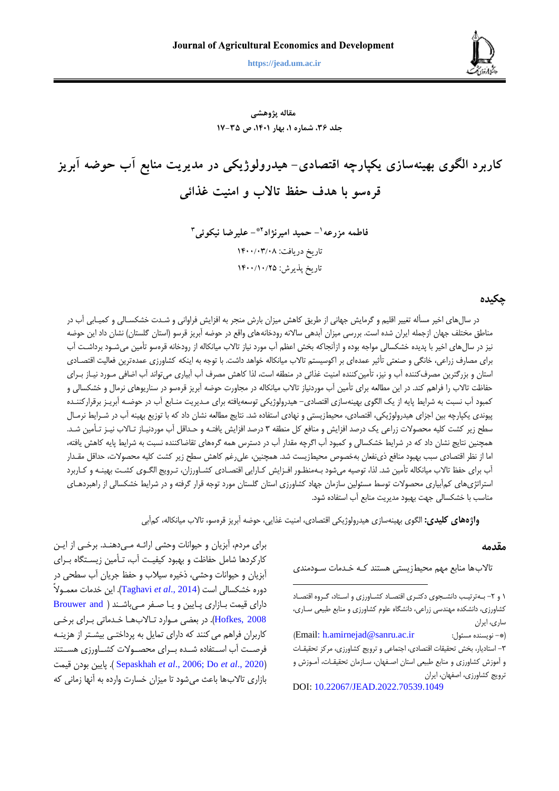**مزرعه و همکاران، کاربرد الگوی بهينهسازی یکپارچه اقتصادی- هيدرولوژیکی در مدیریت منابع آب حوضه آبریز ... 81 https://jead.um.ac.ir**



**مقاله پژوهشی جلد ،63 شماره ،1 بهار ،1041 ص 11-63**

**کاربرد الگوی بهينهسازی يکپارچه اقتصادی- هيدرولوژيکی در مديريت منابع آب حوضه آبريز قرهسو با هدف حفظ تاالب و امنيت غذائی**

> **<sup>1</sup> فاطمه مزرعه - حميد اميرنژاد - عليرضا نيکوئی 2\* 3** تاریخ دریافت: ۱۴۰۰/۰۳/۰۸ تاریخ پذیرش: ١۴٠٠/١٠/٢٥

## **چکیده**

در سالهای اخیر مسأله تغییر اقلیم و گرمایش جهانی از طریق کاهش میزان بارش منجر به افزایش فراوانی و شدت خشکسدالی و کمیدابی آب در مناطق مختلف جهان ازجمله ایران شده است. بررسی میزان آبدهی سالانه رودخانههای واقع در حوضه آبریز قرسو (استان گلستان) نشان داد این حوضه نیز در سالهای اخیر با پتیته خشکسالی مواجه بوده و ازآنجاکه بخش اعظم آب مورد نیاز تاالب میانکاله از رودخانه قرهسو تأمین میشدود برداشدت آب برای مصارف زراعی، خانگی و صنعتی تأثیر عمدهای بر اکوسیستم تالاب میانکاله خواهد داشت. با توجه به اینکه کشاورزی عمدهترین فعالیت اقتصـادی استان و بزرگترین مصرفکننده آب و نیز، تأمینکننده امنیت غذائی در منطقه است، لذا کاهش مصرف آب آبیاری میتواند آب اضافی مـورد نیـاز بـرای حفاظت تالاب را فراهم کند. در این مطالعه برای تأمین آب موردنیاز تالاب میانکاله در مجاورت حوضه آبریز قرهسو در سناریوهای نرمال و خشکسالی و کمبود آب نسبت به شرایط پایه از یک الگوی بهینهسازی اقتصادی- هیترولوژیکی توسعهیافته برای مدتیریت مندابع آب در حوضده آبریدز برقرارکنندته پیونتی یکپارچه بین اجزای هیترولوژیکی، اقتصادی، محیطزیستی و نهادی استفاده شت. نتایج مطالعه نشان داد که با توزیع بهینه آب در شدرایط نرمدال سطح زیر کشت کلیه محصولات زراعی یک درصد افزایش و منافع کل منطقه ۳ درصد افزایش یافتـه و حـداقل آب موردنیـاز تـالاب نیـز تـأمین شـد. همچنین نتایج نشان داد که در شرایط خشکسالی و کمبود آب اگرچه مقتار آب در دسترس همه گرههای تقاضاکننته نسبت به شرایط پایه کاهش یافته، اما از نظر اقتصادی سبب بهبود منافع ذینفعان بهخصوص محیطزیست شد. همچنین، علیرغم کاهش سطح زیر کشت کلیه محصولات، حداقل مقـدار آب برای حفظ تالاب میانکاله تأمین شد. لذا، توصیه میشود بـهمنظـور افـزایش کـارایی اقتصـادی کشـاورزان، تـرویج الگـوی کشـت بهینــه و کـاربرد استراتژیهای کمآبیاری محصولات توسط مسئولین سازمان جهاد کشاورزی استان گلستان مورد توجه قرار گرفته و در شرایط خشکسالی از راهبردهـای مناسب با خشکسالی جهت بهبود متیریت منابع آب استفاده شود.

**واژههای کلیدی:** الگوی بهینهسازی هیترولوژیکی اقتصادی، امنیت غذایی، حوضه آبریز قرهسو، تاالب میانکاله، کمآبی

**.** 

### **مقدمه**

تالابها منابع مهم محیطزیستی هستند کـه خـدمات سـودمندی

برای مردم، آبزیان و حیوانات وحشی ارائـه مـیدهنـد. برخـی از ایـن کارکردها شامل حفاظت و بهبود کیفیت آب، تـأمین زیستگاه بـرای آبزیان و حیوانا وحشی، ذخیره سیالب و حفظ جریان آب سطحی در دوره خشکسالی است ([Taghavi](#page-17-0) *et al.*, 2014). این خدمات معمـولاً دارای قیمت بـازاری پـایین و یـا صـفر مـی باشـند ( Brouwer and [2008 ,Hofkes](#page-16-0)). در بعضی مدوارد تداالب هدا خدتماتی بدرای برخدی کاربران فراهم میکننت که دارای تمایل به پرداختدی بیشدتر از هزینده فرصـت آب اسـتفاده شـده بـرای محصـولات کشـاورزی هسـتند قیمت بودن پایین . ([Sepaskhah](#page-17-1) *et al*., 2006; Do *et al*[., 2020](#page-16-1)( بازاری تاالبها باعث میشود تا میزان خسار وارده به آنها زمانی که

<sup>1</sup> و ۲- بهترتیب دانشجوی دکتری اقتصاد کشاورزی و استاد، گروه اقتصاد کشاورزی، دانشکته مهنتسی زراعی، دانشگاه علوم کشاورزی و منابع طبیعی سداری، ساری، ایران

<sup>)</sup>[Email: h.amirnejad@sanru.ac.ir](mailto:h.amirnejad@sanru.ac.ir) :مسئول نویسنته -)\* ۳- استادیار، بخش تحقیقات اقتصادی، اجتماعی و ترویج کشاورزی، مرکز تحقیقات و آموزش کشاورزی و منابع طبیعی استان اصفهان، سـازمان تحقیقـات، آمـوزش و ترویج کشاورزی، اصفهان، ایران

DOI: [10.22067/JEAD.2022.70539.1049](https://dx.doi.org/10.22067/JEAD.2022.70539.1049)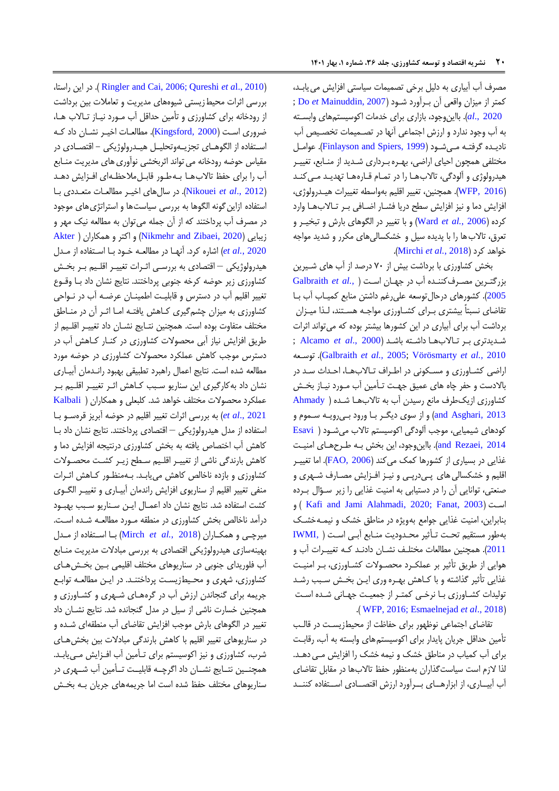مصرف آب آبیاری به دلیل برخی تصمیمات سیاستی افزایش می یابد، کمتر از میزان واقعی آن بدرآورد شدود )[2007 ,Mainuddin](#page-17-2) *et* [Do](#page-16-1); [2020 .,](#page-16-1)*al*). بااینوجود، بازاری برای ختما اکوسیستمهای وابسدته به آب وجود نتارد و ارزش اجتماعی آنها در تصدمیما تخصدی آب نادیدته گرفتده مدی شدود )[1999 ,Spiers and Finlayson](#page-16-2)). عوامدل مختلفی همچون احیای اراضی، بهدره بدرداری شدتیت از مندابع، تغییدر هیدرولوژی و آلودگی، تالابها را در تمـام قـارههـا تهدیـد مـی کنـد (WFP, 2016). همچنین، تغییر اقلیم بهواسطه تغییرات هیـدرولوژی، افزایش دما و نیز افزایش سطح دریا فشدار اضدافی بدر تداالب هدا وارد کرده )[2006](#page-17-3) *.*,*al et* Ward )و با تغییر در الگوهای بارش و تبخیدر و تعرق، تالاب ها را با پدیده سیل و خشکسالیهای مکرر و شدید مواجه .)[Mirchi](#page-17-4) *et al.*, 2018( کرد خواهت

بخش کشاورزی با برداشت بیش از 07 درصت از آب های شدیرین بزرگتدرین مصدرف کنندته آب در جهدان اسدت [\)](#page-16-3) *.,al et* [Galbraith](#page-16-3) [2005](#page-16-3)(. کشورهای درحالتوسعه علیرغم داشتن منابع کمیداب آب بدا تقاضای نسبتاً بیشتری بـرای کشـاورزی مواجـه هسـتند، لـذا میـزان برداشت آب برای آبیاری در این کشورها بیشتر بوده که میتوانت اثرا شدتیتتری بدر تداالب هدا داشدته باشدت )2000 .,*al et* [Alcamo](#page-16-4); توسدعه .([Galbraith](#page-16-3) *et al.,* 2005; [Vörösmarty](#page-17-5) *et al.*, 2010 اراضی کشاورزی و مسکونی در اطراف تـالابهـا، احـداث سـد در باالدست و حفر چاه های عمیق جهدت تدأمین آب مدورد نیداز بخدش کشاورزی ازیکطرف مانع رسیتن آب به تاالبهدا شدته [\)](#page-16-5) [Ahmady](#page-16-5) [2013 ,Asghari and](#page-16-5) )و از سوی دیگدر بدا ورود بدی رویده سدموم و کودهای شیمیایی، موجب آلودگی اکوسیستم تاالب میشدود [\)](#page-16-6) [Esavi](#page-16-6) and Rezaei, 2014). بااین وجود، این بخش بـه طـرحهـای امنیـت غذایی در بسیاری از کشورها کمک می کند (FAO, 2006). اما تغیی اقلیم و خشکسالی های پےدرپے و نیـز افـزایش مصـارف شـهری و صنعتی، توانایی آن را در دستیابی به امنیت غذایی را زیر سداال بدرده و ( [Kafi and Jami Alahmadi, 2020;](#page-17-6) [Fanat, 2003](#page-16-8)( اسدت بنابراین، امنیت غذایی جوامع بهویژه در مناطق خشک و نیمده خشدک بهطور مستقیم تحدت تدأثیر محدتودیت مندابع آبدی اسدت [\)](#page-16-9) [,IWMI](#page-16-9) [2011](#page-16-9)). همچنین مطالعات مختلـف نشــان دادنـد کـه تغییــرات آب و هوایی از طریق تأثیر بر عملکدرد محصدوال کشداورز ی، بدر امنیدت غذایی تأثیر گذاشته و با کداهش بهدره وری ایدن بخدش سدبب رشدت تولیدات کشاورزی با نرخی کمتر از جمعیت جهانی شده است .) [WFP, 2016;](#page-18-0) [Esmaelnejad](#page-16-10) *et al*., 2018(

تقاضای اجتماعی نوظهور برای حفاظت از محیطزیسدت در قالدب تأمین حتاقل جریان پایتار برای اکوسیستمهای وابسته به آب، رقابدت برای آب کمیاب در مناطق خشک و نیمه خشک را افزایش مدی دهدت . لذا الزم است سیاستگذاران بهمنظور حفظ تاالبها در مقابل تقاضای آب آبیساری، از ابزارهسای بسرآورد ارزش اقتصسادی اسستفاده کننسد

،راستا این در . ([Ringler and Cai, 2006;](#page-17-7) [Qureshi](#page-17-8) *et a*l., 2010( بررسی اثرات محیطزیستی شیوههای مدیریت و تعاملات بین برداشت از رودخانه برای کشاورزی و تأمین حتاقل آب مدورد نیداز تداالب هدا، ضروری است (Kingsford, 2000). مطالعات اخیر نشان داد ک اسدتفاده از الگوهدای تجزیدهوتحلیدل هیدترولوژیکی - اقتصدادی در مقیاس حوضه رودخانه می تواند اثربخشی نوآوری های مدیریت منـابع آب را برای حفظ تالابهـا بـهطـور قابـل1ملحظـهای افـزایش دهـد )2012 .,*al et* [Nikouei](#page-17-10)). در سالهای اخیدر مطالعدا متعدتدی بدا استفاده ازاین گونه الگوها به بررسی سیاستها و استراتژی های موجود در مصرف آب پرداختنت که از آن جمله میتوان به مطالعه نیک مهر و زیبایی )[2020 ,Zibaei and](#page-17-11) Nikmehr )و اکتر و همکاران [\)](#page-16-11) [Akter](#page-16-11) [2020](#page-16-11) *.*,*al et* )اشاره کرد. آنهدا در مطالعده خدود بدا اسدتفاده از مدتل هیترولوژیکی – اقتصادی به بررسدی اثدرا تغییدر اقلدیم بدر بخدش کشاورزی زیر حوضه کرخه جنوبی پرداختنت. نتایج نشان داد بدا وقدو تغییر اقلیم آب در دسترس و قابلیدت اطمیندان عرضده آب در ندواحی کشاورزی به میزان چشمگیری کاهش یافتـه امـا اثـر آن در منـاطق مختلف متفاوت بوده است. همچنین نتـایج نشــان داد تغییــر اقلـیم از طریق افزایش نیاز آبی محصولات کشاورزی در کنـار کـاهش آب در دسترس موجب کاهش عملکرد محصولات کشاورزی در حوضه مورد مطالعه شده است. نتایج اعمال راهبرد تطبیقی بهبود رانـدمان آبیـاری نشان داد بهکارگیری این سناریو سدبب کداهش اثدر تغییدر اقلدیم بدر عملکرد محصوال مختلف خواهت شت. کلبعلی و همکاران [\)](#page-17-12) [Kalbali](#page-17-12) et al., 2021) به بررسی اثرات تغییر اقلیم در حوضه آبریز قرهسـو بـا استفاده از متل هیترولوژیکی – اقتصادی پرداختنت. نتایج نشان داد بدا کاهش آب اختصاص یافته به بخش کشاورزی درنتیجه افزایش دما و کاهش بارنتگی ناشی از تغییدر اقلدیم سدطح زیدر کشدت محصدوال کشاورزی و بازده ناخالص کاهش می یابـد. بـهمنظـور کـاهش اثـرات منفی تغییر اقلیم از سناریوی افزایش رانتمان آبیداری و تغییدر الگدوی کشت استفاده شت. نتایج نشان داد اعمدال ایدن سدناریو سدبب بهبدود درآمد ناخالص بخش کشاورزی در منطقه مـورد مطالعـه شـده اسـت. میرچدی و همکداران )2018 *.*,*al et* [Mirch](#page-17-4) )بدا اسدتفاده از مدتل بهینهسازی هیترولوژیکی اقتصادی به بررسی مبادال متیریت مندابع آب فلوریتای جنوبی در سناریوهای مختلف اقلیمی بدین بخدش هدای کشاورزی، شهری و محیطزیست پرداختند. در ایـن مطالعـه توابـع جریمه برای گنجانتن ارزش آب در گرههدای شدهری و کشداورزی و همچنین خسارت ناشی از سیل در مدل گنجانده شد. نتایج نشان داد تغییر در الگوهای بارش موجب افزایش تقاضای آب منطقهای شدته و در سناریوهای تغییر اقلیم با کاهش بارندگی مبادلات بین بخشهای شرب، کشاورزی و نیز اکوسیستم برای تدأمین آب افدزایش مدی یابدت. همچنین نتـایج نشــان داد اگرچــه قابلیــت تــأمین آب شــهری در سناریوهای مختلف حفظ شته است اما جریمههای جریان بده بخدش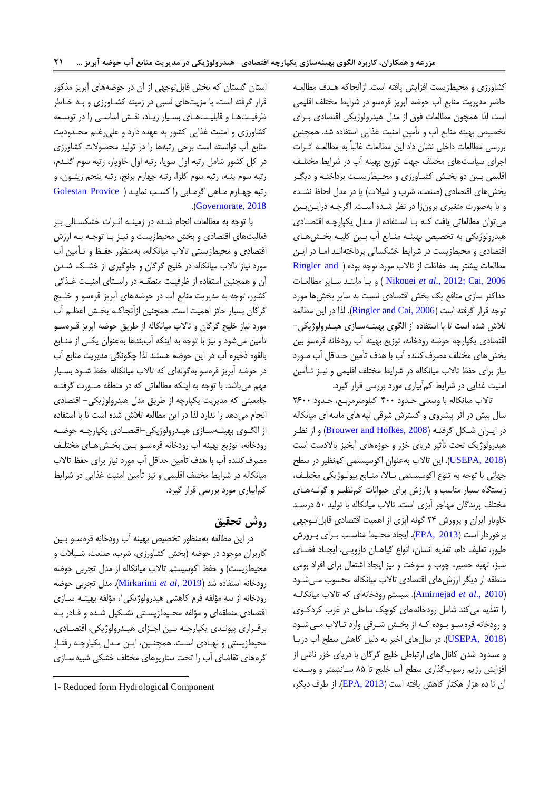کشاورزی و محیطزیست افزایش یافته است. ازآنجاکه هدتف مطالعده حاضر متیریت منابع آب حوضه آبریز قرهسو در شرایط مختلف اقلیمی است لذا همچون مطالعات فوق از مدل هیدرولوژیکی اقتصادی بــرای تخصیص بهینه منابع آب و تأمین امنیت غذایی استفاده شد. همچنین بررسی مطالعات داخلی نشان داد این مطالعات غالباً به مطالعـه اثــرات اجرای سیاستهای مختلف جهت توزیع بهینه آب در شرایط مختلدف اقلیمی بـین دو بخـش کشـاورزی و محـیطزیسـت پرداختـه و دیگـر بخشهای اقتصادی (صنعت، شرب و شیلات) یا در مدل لحاظ نشده و یا بهصورت متغیری برونزا در نظر شده است. اگرچه درایـن بین میتوان مطالعاتی یافت کده بدا اسدتفاده از مدتل یکپارچده اقتصدادی هیدرولوژیکی به تخصیص بهینـه منـابع آب بـین کلیـه بخـش۵هـای اقتصادی و محیطزیست در شرایط خشکسالی پرداختهاندت امدا در ایدن مطالعات بیشتر بعد حفاظت از تالاب مورد توجه بوده ( Ringler and [2006 ,Cai](#page-17-7)[;](#page-17-10) 2012 .,*al et* [Nikouei](#page-17-10) ) و یدا مانندت سدایر مطالعدا حتاکثر سازی منافع یک بخش اقتصادی نسبت به سایر بخشها مورد توجه قرار گرفته است (Ringler and Cai, 2006). لذا در این مطالعه تلاش شده است تا با استفاده از الگوی بهینـهسـازی هیـدرولوژیکی-اقتصادی یکپارچه حوضه رودخانه، توزیع بهینه آب رودخانه قرهسو بین بخش های مختلف مصرف کننده آب با هدف تأمین حـداقل آب مـورد نیاز برای حفظ تالاب میانکاله در شرایط مختلف اقلیمی و نیـز تـأمین امنیت غذایی در شرایط کمآبیاری مورد بررسی قرار گیرد.

تالاب میانکاله با وسعتی حدود ۴۰۰ کیلومترمربع، حدود ۲۶۰۰ سال پیش در اثر پیشروی و گسترش شرقی تپههای ماسهای میانکاله در ایدران شدکل گرفتده )[2008 ,Hofkes and Brouwer](#page-16-0) )و از نظدر هیترولوژیک تحت تأثیر دریای خزر و حوزههای آبخیز باالدست است )[2018 ,USEPA](#page-17-13)). این تاالب بهعنوان اکوسیستمی کمنظیر در سطح جهانی با توجه به تنوع اکوسیستمی بـالا، منـابع بیولـوژیکی مختلـف، زیستگاه بسیار مناسب و باارزش برای حیوانا کمنظید ر و گونده هدای مختلف پرنتگان مهاجر آبزی است. تاالب میانکاله با تولیت 07 درصدت خاویار ایران و پرورش ۲۴ گونه آبزی از اهمیت اقتصادی قابل تـوجهی برخوردار است ([2013 ,EPA](#page-16-12)). ایجاد محیط مناسب بـرای پـرورش طیور، تعلیف دام، تغذیه انسان، انواع گیاهـان دارویـی، ایجـاد فضـای سبز، تهیه حصیر، چوب و سوخت و نیز ایجاد اشتغال برای افراد بومی منطقه از دیگر ارزشهای اقتصادی تاالب میانکاله محسوب مدی شدود )2010 .,*al et* [Amirnejad](#page-16-13)). سیستم رودخانهای که تاالب میانکالده را تغذیه میکنت شامل رودخانههای کوچک ساحلی در غرب کردکدوی و رودخانه قرهسدو بدوده کده از بخدش شدرقی وارد تداالب مدی شدود )[2018 ,USEPA](#page-17-13)). در سالهای اخیر به دلیل کاهش سطح آب دریدا و مستود شتن کانالهای ارتباطی خلیج گرگان با دریای خزر ناشی از افزایش رژیم رسوبگذاری سطح آب خلیج تا 50 سدانت یمتر و وسدعت آن تا ده هزار هکتار کاهش یافته است )[2013 ,EPA](#page-16-12)). از طرف دیگر،

استان گلستان که بخش قابلتوجهی از آن در حوضههای آبریز مذکور قرار گرفته است، با مزیتهای نسبی در زمینه کشداورز ی و بده خداطر ظرفیتها و قابلیتهای بسیار زیاد، نقش اساسی را در توسعه کشاورزی و امنیت غذایی کشور به عهده دارد و علی رغم محدودیت منابع آب توانسته است برخی رتبهها را در تولیت محصوال کشاورزی در کل کشور شامل رتبه اول سویا، رتبه اول خاویار، رتبه سوم گندتم، رتبه سوم پنبه، رتبه سوم کلزا، رتبه چهارم برنج، رتبه پنجم زیتدون ، و رتبه چهارم ماهی گرمابی را کسب نماید ( Golestan Provice .)[Governorate, 2018](#page-16-14)

با توجه به مطالعات انجام شده در زمینـه اثـرات خشکسـالی بـر فعالیتهای اقتصادی و بخش محیطزیست و نیدز بدا توجده بده ارزش اقتصادی و محیطزیستی تاالب میانکاله، بهمنظور حفدظ و تدأمین آب مورد نیاز تالاب میانکاله در خلیج گرگان و جلوگیری از خشک شـدن آن و همچنین استفاده از ظرفیدت منطقده در راسدتای امنیدت غدذائی کشور، توجه به مدیریت منابع آب در حوضههای آبریز قرهسو و خلـیج گرگان بسیار حائز اهمیت است. همچنین ازآنجاکده بخدش اعظدم آب مورد نیاز خلیج گرگان و تالاب میانکاله از طریق حوضه آبریز قـرهسـو تأمین میشود و نیز با توجه به اینکه آببنتها بهعنوان یکدی از مندابع بالقوه ذخیره آب در این حوضه هستنت لذا چگونگی متیریت منابع آب در حوضه آبریز قرهسو بهگونهای که تاالب میانکاله حفظ شدود بسدیار مهم میباشت. با توجه به اینکه مطالعاتی که در منطقه صدور گرفتده جامعیتی که متیریت یکپارچه از طریق متل هیترولوژیکی- اقتصادی انجام میدهد را ندارد لذا در این مطالعه تلاش شده است تا با استفاده از الگـوی بهینــهســازی هیــدرولوژیکی-اقتصــادی یکپارچــه حوضــه رودخانه، توزیع بهینه آب رودخانه قرهسدو بدین بخدش هدای مختلدف مصرفکننته آب با هتف تأمین حتاقل آب مورد نیاز برای حفظ تاالب میانکاله در شرایط مختلف اقلیمی و نیز تأمین امنیت غذایی در شرایط کمآبیاری مورد بررسی قرار گیرد.

# **روش تحقیق**

در این مطالعه بهمنظور تخصی بهینه آب رودخانه قرهسدو بدین کاربران موجود در حوضه (بخش کشاورزی، شرب، صنعت، شـیلات و محیطزیست) و حفظ اکوسیستم تالاب میانکاله از مدل تجربی حوضه رودخانه استفاده شت )2019 ,*al et* [Mirkarimi](#page-17-14)). متل تجربی حوضه رودخانه از سه مؤلفه فرم کاهشی هیدرولوژیکی`، مؤلفه بهینــه ســازی اقتصادی منطقهای و مؤلفه محیطزیستی تشکیل شده و قـادر بـه برقدراری پیوندتی یکپارچده بدین اجدزای هیدترولوژیکی، اقتصدادی، محیطزیستی و نهدادی اسدت. همچند ین، ایدن مدتل یکپارچده رفتدار گرههای تقاضای آب را تحت سناریوهای مختلف خشکی شبیهسدازی

1

<sup>1-</sup> Reduced form Hydrological Component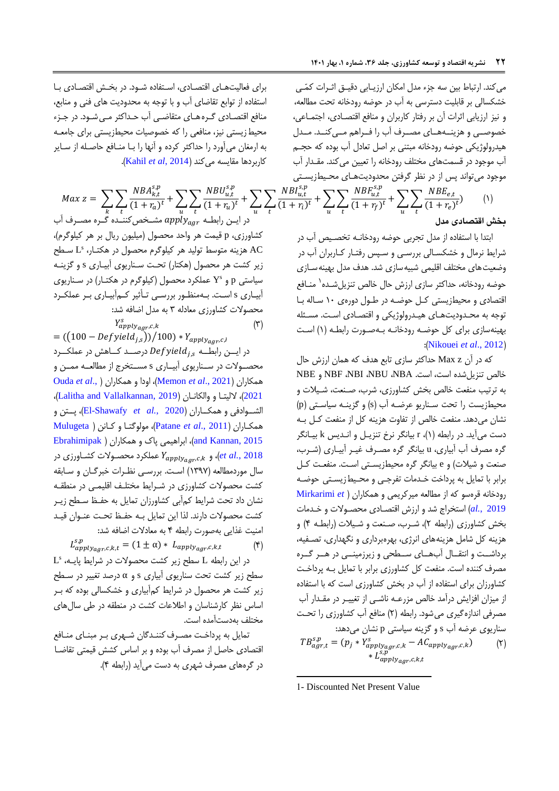میکند. ارتباط بین سه جزء مدل امکان ارزیـابی دقیـق اثـرات کمّـی خشکسالی بر قابلیت دسترسی به آب در حوضه رودخانه تحت مطالعه، و نیز ارزیابی اثرات آن بر رفتار کاربران و منافع اقتصادی، اجتماعی، خصوصـی و هزینــههـای مصــرف آب را فــراهم مــیکنــد. مــدل هیترولوژیکی حوضه رودخانه مبتنی بر اصل تعادل آب بوده که حجدم آب موجود در قسمتهای مختلف رودخانه را تعیین میکنت. مقدتار آب موجود میتواند پس از در نظر گرفتن محدودیتهای محیطزیستی

$$
Max\ z = \sum_{k} \sum_{t} \frac{NBA_{k,t}^{s,p}}{(1+r_a)^t} + \sum_{u} \sum_{t} \frac{NBU_{u,t}^{s,p}}{(1+r_u)^t} + \sum_{u} \sum_{t} \frac{NBI_{u,t}^{s,p}}{(1+r_i)^t} + \sum_{u} \sum_{t} \frac{NBF_{u,t}^{s,p}}{(1+r_f)^t} + \sum_{u} \sum_{t} \frac{NBE_{e,t}}{(1+r_e)^t} \tag{1}
$$

 $= -50$ 

ابتتا با استفاده از متل تجربی حوضه رودخانده تخصدی آب در شرایط نرمال و خشکسدالی بررسدی و سدپس رفتدار کداربران آب در وضعیت های مختلف اقلیمی شبیه سازی شد. هدف مدل بهینه سازی حوضه رودخانه، حداکثر سازی ارزش حال خالص تنزیلشـده<sup>\</sup> منـافع اقتصادی و محیطزیستی کدل حوضده در طدول دوره ی 17 سداله بدا توجه به محـدودیتهـای هیـدرولوژیکی و اقتصـادی اسـت. مسـئله بهینهسازی برای کل حوضده رودخانده بده صدور رابطده ) 1( اسدت :([Nikouei](#page-17-10) *et al.*, 2012)

که در آن z Max حتاکثر سازی تابع هتف که همان ارزش حال خالص تنزیل شده است، است. NBU ،NBA و NBE و به ترتیب منفعت خالص بخش کشاورزی، شرب، صـنعت، شـیلات و محیطزیست را تحت سدناریو عرضده آب )s )و گزینده سیاسدتی )p ) نشان میدهد. منفعت خالص از تفاوت هزینه کل از منفعت کل بـه دست میآید. در رابطه (۱)، r بیانگر نرخ تنزیـل و انـدیس k بیـانگر گره مصرف آب آبیاری، u بیانگر گره مصـرف غیـر آبیــاری (شــرب، صنعت و شیلات) و e بیانگر گره محیطزیستی است. منفعت کـل برابر با تمایل به پرداخت خـدمات تفرجـی و محـیطiزیسـتی حوضـه رودخانه قرهسو که از مطالعه میرکریمی و همکاران [\)](#page-17-14) *et* [Mirkarimi](#page-17-14) [2019](#page-17-14) *.*,*al* )استخراج شت و ارزش اقتصدادی محصدوال و خدتما بخش کشاورزی (رابطه ۲)، شـرب، صـنعت و شـیلات (رابطـه ۴) و هزینه کل شامل هزینههای انرژی، بهرهبرداری و نگهتاری، تصدفیه، برداشـت و انتقـال آبهـای سـطحی و زیرزمینــی در هــر گــره مصرف کننده است. منفعت کل کشاورزی برابر با تمایل بـه پرداخـت کشاورزان برای استفاده از آب در بخش کشاورزی است که با استفاده از میزان افزایش درآمد خالص مزرعـه ناشـی از تغییـر در مقـدار آب مصرفی انتازهگیری میشود. رابطه )2( منافع آب کشاورزی را تحدت سناریوی عرضه آب s و گزینه سیاستی p نشان میدهت:  $TB_{agr,t}^{s,p} = (p_j * Y_{apply_{agr,c,k}}^s - AC_{apply_{agr,c,k}})$  (Y)  $* L_{apply_{agr},c,k,t}^{s,p}$ 

 $\overline{a}$ 1- Discounted Net Present Value

برای فعالیتهای اقتصادی، استفاده شود. در بخش اقتصادی با استفاده از توابع تقاضای آب و با توجه به محتودیت های فنی و منابع، منافع اقتصـادی گـره هـای متقاضـی آب حـداکثر مـی شـود. در جـزء محیط زیستی نیز، منافعی را که خصوصیات محیطزیستی برای جامعـه به ارمغان میآورد را حتاکثر کرده و آنها را بدا مندافع حاصدله از سدایر کاربردها مقایسه میکنت )[2014 ,](#page-16-15)*al et* Kahil).

ده مست $k$  در ایدن  $\log p_{{\cal U}_{\cal S}gr}^{n}$  مصرف آب $app_{{\cal V}_{\cal S}gr}^{n}$  مصرف آب کشاورزی، p قیمت هر واحت محصول )میلیون ریال بر هر کیلوگرم(، s AC هزینه متوسط تولیت هر کیلوگرم محصول در هکتدار ، L سدطح زیر کشت هر محصول )هکتار( تحدت سدناریوی آبیداری s و گزینده Y<sup>s</sup> سیاستی p و عملکرد محصول )کیلوگرم در هکتدار( در سدناریوی آبیداری s اسدت. بدهمنظدور بررسدی تدأثیر کدمآبیداری بدر عملکدرد محصوال کشاورزی معادله 3 به متل اضافه شت:  $Y_{apply,agr,c,k}^s$  ( $\uparrow$ )

 $= ((100 - Defyield_{i,s}))/100) * Y_{apply_{aqr},c,l}$ در ایسن رابطــه  $\mathit{Defyield}_{j,s}$  درصــد کـــاهش در عملکـــرد محصـولات در سـناریوی آبیــاری s مسـتخرج از مطالعــه ممــن و [Ouda](#page-17-16) *et al*., [\(](#page-17-16) همکاران و اودا ،([Memon](#page-17-15) *et al*., 2021( همکاران [2021](#page-17-16)(، اللیتدا و والکاندان )[2019 ,Vallalkannan and Lalitha](#page-17-17))، الشددوادفی و همکدداران ) 2020 *.*,*al et* [Shawafy-El](#page-16-16))، پددتن و همکداران ) [2011 .,](#page-17-18)*al et* Patane)، مولوگتدا و کدانن [\)](#page-17-19) [Mulugeta](#page-17-19)  $E$ brahimipak [\)](#page-16-17)، ابراهیمی پاک و همکاران  $\langle$ and Kannan, 2015 عملکرد محصـولات کشــاورزی در  $Y_{apply_{agr,c,k}}$  و  $\ell$ et al., 2018 سال موردمطالعه (۱۳۹۷) است. بررسبی نظـرات خبرگـان و سـابقه کشت محصولات کشاورزی در شـرایط مختلـف اقلیمـی در منطقـه نشان داد تحت شرایط کمآبی کشاورزان تمایل به حفدظ سدطح زیدر کشت محصولات دارند. لذا این تمایل بـه حفـظ تحـت عنـوان قیـد امنیت غذایی بهصورت رابطه ۴ به معادلات اضافه شد:  $L_{apply_{agr},c,k,t}^{s,p} = (1 \pm \alpha) * L_{apply_{agr},c,k,t}$  (۴)

 $L^s$  در این رابطه L سطح زیر کشت محصولات در شرایط پایـه، سطح زیر کشت تحت سناریوی آبیاری s و α درصت تغییر در سدطح زیر کشت هر محصول در شرایط کمآبیاری و خشکسالی بوده که بدر اساس نظر کارشناسان و اطلاعات کشت در منطقه در طی سال های مختلف بهدستآمته است.

تمایل به پرداخدت مصدرف کنندتگان شدهری بدر مبندای مندافع اقتصادی حاصل از مصرف آب بوده و بر اساس کشش قیمتی تقاضدا در گرههای مصرف شهری به دست میآیت )رابطه 0(.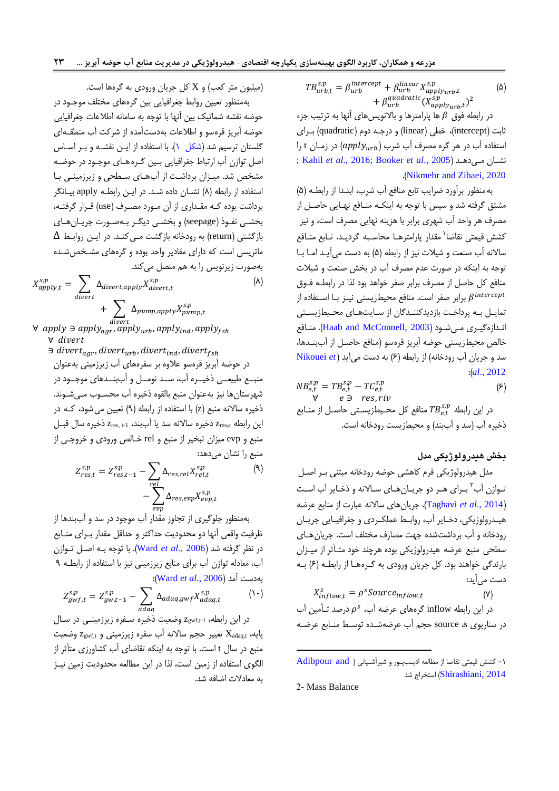$TB_{urb,t}^{s,p} = \beta_{urb}^{intercept} + \beta_{urb}^{linear} X_{apply_{urb},t}^{s,p}$  ( $\Delta$ ) +  $\beta_{urb}^{quadratic}(X_{apply_{urb},t}^{s,p})^2$ 

در رابطه فوق  $\beta$  ها پارامترها و بالانویسهای آنها به ترتیب جزء ثابت )intercept)، خطی )linear )و درجده دوم )quadratic )بدرای استفاده آب در هر گره مصرف آب شرب  $\left( apply_{urb} \right)$  در زمــان t را ; Kahil *et al*[., 2016;](#page-16-19) [Booker](#page-16-18) *et al*., 2005 ( یدهدت مد نشدان .)[Nikmehr and Zibaei, 2020](#page-17-11)

بهمنظور برآورد ضرایب تابع منافع آب شرب، ابتدتا از رابطده )0( مشتق گرفته شت و سپس با توجه به اینکده مندافع نهدایی حاصدل از مصرف هر واحت آب شهری برابر با هزینه نهایی مصرف است، و نیز کشش قیمتی تقاضا<sup>\</sup> مقدار پارامترهـا محاسـبه گردیـد. تـابع منــافع سالانه آب صنعت و شیلات نیز از رابطه (۵) به دست می آیـد امـا بـا توجه به اینکه در صورت عدم مصرف آب در بخش صنعت و شیلات منافع کل حاصل از مصرف برابر صفر خواهت بود لذا در رابطده فدوق برابر صفر است. منافع محیطزیستی نیـز بـا اسـتفاده از  $\beta^{intercept}$ تمایـل بـه پرداخـت بازدیدکننـدگان از سـایتهـای محـیطزیسـتی اندتازه گیدری مدی شدود )[2003 ,McConnell and Haab](#page-16-20)). مندافع خالص محیطزیستی حوضه آبریز قرهسو (منافع حاصـل از آببنـدها، ست و جریان آب رودخانه( از رابطه )0( به دست میآیت [\)](#page-17-10) *et* [Nikouei](#page-17-10) :)*al*[., 2012](#page-17-10)

$$
NB_{e,t}^{s,p} = TB_{e,t}^{s,p} - TC_{e,t}^{s,p}
$$
  
\n
$$
\forall \quad e \ni \text{res}, riv
$$
  
\n
$$
c_1 \ni \text{const}
$$
  
\n
$$
c_2 \ni \text{res}
$$
  
\n
$$
c_3 \neq 0
$$
  
\n
$$
c_4 \neq 0
$$
  
\n
$$
c_5 \neq 0
$$
  
\n
$$
c_6 \neq 0
$$
  
\n
$$
c_7 \neq 0
$$
  
\n
$$
c_8 \neq 0
$$
  
\n
$$
c_9 \neq 0
$$
  
\n
$$
c_9 \neq 0
$$
  
\n
$$
c_9 \neq 0
$$
  
\n
$$
c_9 \neq 0
$$
  
\n
$$
c_9 \neq 0
$$
  
\n
$$
c_9 \neq 0
$$
  
\n
$$
c_9 \neq 0
$$
  
\n
$$
c_9 \neq 0
$$
  
\n
$$
c_1 \neq 0
$$
  
\n
$$
c_2 \neq 0
$$
  
\n
$$
c_3 \neq 0
$$
  
\n
$$
c_4 \neq 0
$$
  
\n
$$
c_5 \neq 0
$$
  
\n
$$
c_7 \neq 0
$$
  
\n
$$
c_8 \neq 0
$$
  
\n
$$
c_9 \neq 0
$$
  
\n
$$
c_9 \neq 0
$$
  
\n
$$
c_9 \neq 0
$$
  
\n
$$
c_9 \neq 0
$$
  
\n
$$
c_9 \neq 0
$$
  
\n
$$
c_1 \neq 0
$$
  
\n
$$
c_2 \neq 0
$$
  
\n
$$
c_3 \neq 0
$$
  
\n
$$
c_4 \neq 0
$$
  
\n
$$
c_5 \neq 0
$$
  
\n
$$
c_7 \neq 0
$$
  
\n
$$
c_8 \neq 0
$$
<

## **بخش هیدرولوژیکی مدل**

متل هیترولوژیکی فرم کاهشی حوضه رودخانه مبتنی بدر اصدل تـوازن آب<sup>۲</sup> بـرای هـر دو جریـانهـای سـالانه و ذخـایر آب اسـت )2014 .,*al et* [Taghavi](#page-17-0)). جریانهای ساالنه عبار از منابع عرضه هیدترولوژیکی، ذخدایر آب، روابدط عملکدردی و جغرافیدایی جریدان رودخانه و آب برداشتشته جهت مصارف مختلف است. جریانهدای سطحی منبع عرضه هیترولوژیکی بوده هرچنت خود متدأثر از میدزان بارندگی خواهند بود. کل جریان ورودی به گرههـا از رابطـه (۶) بـه دست میآیت:

 $X_{inflow,t}^s = \rho^s Source_{inflow,t}$  (Y)

در این رابطه inflow گرههای عرضه آب،  $\rho^s$  درصد تـأمین آب در سناریوی s، source حجم آب عرضهشدته توسدط مندابع عرضده

 $\overline{a}$ 

(میلیون متر کعب) و X کل جریان ورودی به گرهها است. بهمنظور تعیین روابط جغرافیایی بین گرههای مختلف موجدود در

حوضه نقشه شماتیک بین آنها با توجه به سامانه اطلاعات جغرافیایی حوضه آبریز قرهسو و اطلاعات بهدستآمده از شرکت آب منطقـه|ی گلستان ترسیم شت [\)شکل 1\(.](#page-7-0) با استفاده از ایدن نقشده و بدر اسداس اصل توازن آب ارتباط جغرافیایی بدین گدره هدای موجدود در حوضده مشخص شد. میـزان برداشـت از آبهـای سـطحی و زیرزمینـی بـا استفاده از رابطه (۸) نشــان داده شــد. در ایــن رابطــه apply بیــانگر برداشت بوده کـه مقـداري از آن مـورد مصـرف (use) قـرار گرفتـه، بخشدی نفدوذ )seepage )و بخشدی دیگدر بده صدور جریدان هدای  $\Delta$  بازگشتی (return) به رودخانه بازگشت مـی کنـد. در ایـن روابـط ماتریسی است که دارای مقادیر واحد بوده و گرههای مشـخص شـده بهصور زیرنویس را به هم متصل میکنت.

$$
X_{apply,t}^{s,p} = \sum_{divert} \Delta_{divert, apply} X_{divert,t}^{s,p}
$$
  
+ 
$$
\sum_{divert} \Delta_{pump, apply} X_{pump,t}^{s,p}
$$
 (A)

 $\forall \textit{ apply } \exists \textit{ apply}_{agr}, apply_{urb}, apply_{ind}, apply_{fsh}$ ∀ apply ∋ apply<sub>agr</sub>, apply<sub>urb</sub>, apply<sub>ind</sub>, apply<sub>fsh</sub> ∀ ∋ divert<sub>aar</sub>, divert<sub>urb</sub>, divert<sub>ind</sub>, divert<sub>fsh</sub>

در حوضه آبریز قرهسو عالوه بر سفرههای آب زیرزمینی بهعنوان منبــع طبیعــی ذخیــره آب، ســد نومــل و آببنــدهای موجــود در شهرستانها نیز بهعنوان منبع بالقوه ذخیره آب محسدوب مدی شدونت . ذخیره سالانه منبع (z) با استفاده از رابطه (۹) تعیین می شود، کـه در این رابطه  $z_{\rm res, t}$  ذخیره سالانه سد یا آببند،  $z_{\rm res, t-1}$  ذخیره سال قبـل منبع و evp میزان تبخیر از منبع و rel خـالص ورودی و خروجـی از منبع را نشان میدهت:

$$
Z_{res,t}^{s,p} = Z_{res,t-1}^{s,p} - \sum_{rel} \Delta_{res,rel} X_{rel,t}^{s,p}
$$

$$
- \sum_{evp} \Delta_{res,evp} X_{evp,t}^{s,p}
$$

$$
(9)
$$

بهمنظور جلوگیری از تجاوز مقتار آب موجود در ست و آببنتها از ظرفیت واقعی آنها دو محتودیت حتاکثر و حتاقل مقتار بدرای مندابع در نظر گرفته شت )[2006 .,](#page-17-3)*al et* Ward). با توجه بده اصدل تدوازن آب، معادله توازن آب برای منابع زیرزمینی نیز با استفاده از رابطده 3 :)Ward *et al.*[, 2006](#page-17-3)( آمت بهدست

$$
Z_{gwf,t}^{s,p} = Z_{gw,t-1}^{s,p} - \sum_{adaq} \Delta_{adaq,gwf} X_{adaq,t}^{s,p}
$$
 (1)

در این رابطه،  $_{\rm zgwf,t-1}$  وضعیت ذخیره سفره زیرزمینـی در سـال پایه،  $\rm z_{gwf,t}$  تغییر حجم سالانه آب سفره زیرزمینی و  $\rm z_{gwf,t}$  وضعیت منبع در سال t است. با توجه به اینکه تقاضای آب کشاورزی متأثر از الگوی استفاده از زمین است، لذا در این مطالعه محتودیت زمین نیدز به معادال اضافه شت.

 $\text{Adibpour and }$  1 - کشش قیمتی تقاضا از مطالعه ادیبپور و شیرآشیانی ( [2014 ,Shirashiani](#page-15-0) )استخراج شت

<sup>2-</sup> Mass Balance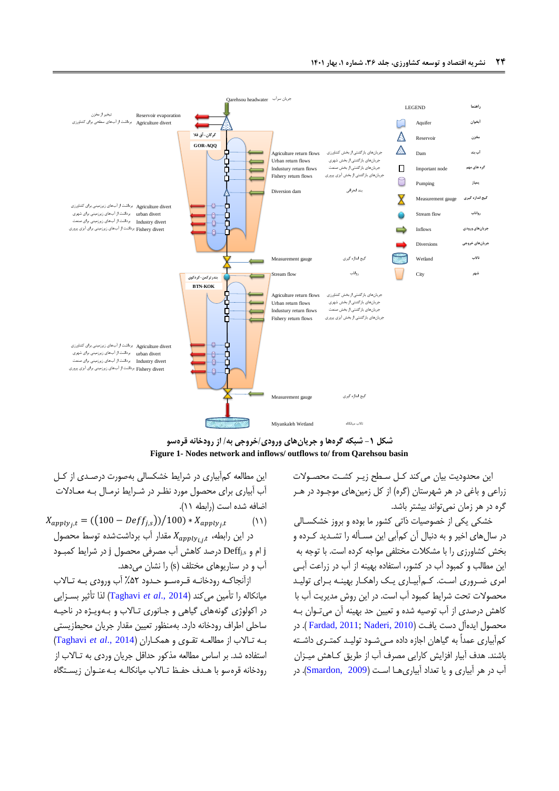



این محدودیت بیان می کند کـل سـطح زیـر کشـت محصـولات زراعی و باغی در هر شهرستان (گره) از کل زمینهای موجـود در هـر گره در هر زمان نمیتوانت بیشتر باشت.

خشکی یکی از خصوصیات ذاتی کشور ما بوده و بروز خشکسـالی در سالهای اخیر و به دنبال آن کمآبی این مسدأله را تشدتیت کدرده و بخش کشاورزی را با مشکال مختلفی مواجه کرده است. با توجه به این مطالب و کمبود آب در کشور، استفاده بهینه از آب در زراعت آبد ی امری ضـروری اسـت. کـم|بیـاری یـک راهکـار بهینـه بـرای تولیـد محصوال تحت شرایط کمبود آب است. در این روش متیریت آب با کاهش درصتی از آب توصیه شته و تعیین حت بهینه آن میتدوان بده محصول ایتهآل دست یافدت )[2010 ,Naderi](#page-17-20)[;](#page-16-21)[2011 ,Fardad](#page-16-21)) . در کمآبیاری عمداً به گیاهان اجازه داده مـی شـود تولیـد کمتـری داشـته باشنت. هتف آبیار افزایش کارایی مصرف آب از طریق کداهش میدزان آب در هر آبیاری و یا تعتاد آبیاریهدا اسدت )[2009 ,Smardon](#page-17-21)). در

<span id="page-7-0"></span>این مطالعه کمآبیاری در شرایط خشکسالی بهصور درصدت ی از کدل آب آبیاری برای محصول مورد نظدر در شدرایط نرمدال بده معدادال اضافه شده است (رابطه ١١).

 $X_{apply_j,t} = ((100 - Deff_{j,s})) / 100) * X_{apply_j,t}$  (1) در این رابطه،  $X_{apply_{i,j},t}$  مقدار آب برداشتشده توسط محصول j ام و s,Deff<sup>j</sup> درصت کاهش آب مصرفی محصول j در شرایط کمبدود آب و در سناریوهای مختلف (s) را نشان می دهد.

ازآنجاکـه رودخانـه قـرهسـو حـدود ۵۲٪ آب ورودی بـه تـالاب میانکاله را تأمین میکنت )2014 .,*al et* [Taghavi](#page-17-0) )لذا تأثیر بسدزا یی در اکولوژی گونههای گیاهی و جـانوری تـالاب و بـهویـژه در ناحیـه ساحلی اطراف رودخانه دارد. بهمنظور تعیین مقتار جریان محیطزیستی بده تداالب از مطالعده تقدوی و همکداران )2014 .,*al et* [Taghavi](#page-17-0) ) استفاده شت. بر اساس مطالعه مذکور حتاقل جریان وردی به تداالب از رودخانه قرهسو با هدتف حفدظ تداالب میانکالده بده عندوان زیسدتگاه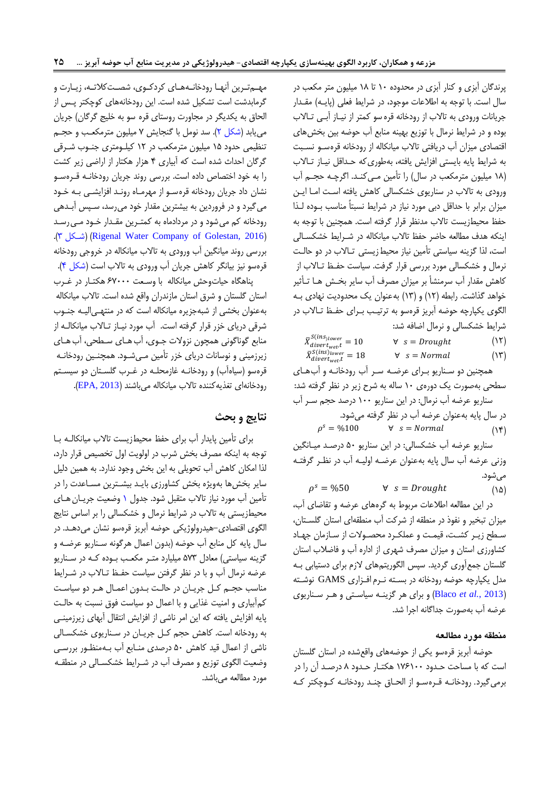پرنتگان آبزی و کنار آبزی در محتوده 17 تا 15 میلیون متر مکعب در سال است. با توجه به اطلاعات موجود، در شرایط فعلی (پایـه) مقـدار جریانات ورودی به تالاب از رودخانه قره سو کمتر از نیـاز آبـی تـالاب بوده و در شرایط نرمال با توزیع بهینه منابع آب حوضه بین بخشهای اقتصادی میزان آب دریافتی تاالب میانکاله از رودخانه قرهسدو نسدبت به شرایط پایه بایستی افزایش یافته، بهطوری که حداقل نیـاز تـالاب (۱۸ میلیون مترمکعب در سال) را تأمین مـی کنـد. اگرچـه حجـم آب ورودی به تالاب در سناریوی خشکسالی کاهش یافته است امـا ایـن میزان برابر با حداقل دبی مورد نیاز در شرایط نسبتاً مناسب بــوده لــذا حفظ محیطزیست تاالب متنظر قرار گرفته است. همچنین با توجه به اینکه هدف مطالعه حاضر حفظ تالاب میانکاله در شـرایط خشکسـالی است، لذا گزینه سیاستی تأمین نیاز محیطزیستی تداالب در دو حالدت نرمال و خشکسالی مورد بررسی قرار گرفت. سیاست حفدظ تداالب از کاهش مقتار آب سرمنشأ بر میزان مصرف آب سایر بخدش هدا تدأثیر خواهد گذاشت. رابطه (١٢) و (١٣) به عنوان یک محدودیت نهادی بـه الگوی یکپارچه حوضه آبریز قرهسو به ترتیدب بدرای حفدظ تداالب در شرایط خشکسالی و نرمال اضافه شت:

 $\bar{X}_{divert_{wet}}^{S(ins)lower} = 10$   $\forall$   $s = Drought$  (\Y)  $\bar{X}_{divert_{wet}}^{S(ins)_{lower}} = 18$   $\forall$   $s = Normal$  ( $\Upsilon$ )

همچنین دو سدناریو بدرای عرضده سدر آب رودخانده و آبهدای سطحی بهصورت یک دورهی ۱۰ ساله به شرح زیر در نظر گرفته شد: سناریو عرضه آب نرمال: در این سناریو 177 درصت حجم سدر آب در سال پایه بهعنوان عرضه آب در نظر گرفته میشود.  $\rho^s = \frac{0}{100}$   $\forall$   $s = Normal$   $(\forall^e)$ 

سناریو عرضه آب خشکسالی: در این سناریو ۵۰ درصد میـانگین وزنی عرضه آب سال پایه بهعنوان عرضـه اولیـه آب در نظـر گرفتـه میشود.

 $\rho^s = \% 50$   $\forall$   $s = Drought$  (\\ampha \text{ \text{ \text{ \text{ \text{ \text{ \text{ \text{ \text{ \text{ \text{ \text{ \text{ \text{ \text{ \text{ \text{ \text{ \text{ \text{ \text{ \text{ \text{ \text{ \text{ \text{ \text{

در این مطالعه اطلاعات مربوط به گرههای عرضه و تقاضای آب، میزان تبخیر و نفوذ در منطقه از شرکت آب منطقهای استان گلسدتان، سدطح زید ر کشدت ، قیمدت و عملکدرد محصدوال از سدازمان جهداد کشاورزی استان و میزان مصرف شهری از اداره آب و فاضالب استان گلستان جمعآوری گردیت. سپس الگوریتمهای الزم برای دستیابی بده متل یکپارچه حوضه رودخانه در بسدته ندرم افدزاری GAMS نوشدته )2013 *.*,*al et* [Blaco](#page-16-22) )و برای هر گزینده سیاسدتی و هدر سدناریوی عرضه آب بهصورت جداگانه اجرا شد.

### **منطقه مورد مطالعه**

حوضه آبریز قرهسو یکی از حوضههای واقعشته در استان گلستان است که با مساحت حـدود ۱۷۶۱۰۰ هکتـار حـدود ۸ درصـد آن را در برمی گیرد. رودخانـه قـرهسـو از الحـاق چنـد رودخانـه کـوچکتر کـه

مهم ترین آنها رودخانههای کردکوی، شصتکلاته، زیارت و گرمابتشت است تشکیل شته است. این رودخانههای کوچکتر پدس از الحاق به یکدیگر در مجاورت روستای قره سو به خلیج گرگان) جریان مییابت [\)شکل 2\(](#page-9-0). ست نومل با گنجایش 0 میلیون مترمکعدب و حجدم تنظیمی حتود 10 میلیون مترمکعب در 12 کیلدومتری جندوب شدرق ی گرگان احداث شده است که آبیاری ۴ هزار هکتار از اراضی زیر کشت را به خود اختصاص داده است. بررسی رونت جریان رودخانده قدره سدو نشان داد جریان رودخانه قرهسدو از مهرمداه روندت افزایشدی بده خدود میگیرد و در فروردین به بیشترین مقتار خود میرست، سدپس آبدتهی رودخانه کم میشود و در مردادماه به کمتدرین مقدتار خدود مدی رسدت .[\)3 شدکل](#page-9-1)( [\)](#page-9-1)[Rigenal Water Company of Golestan, 2016](#page-17-22)( بررسی رونت میانگین آب ورودی به تاالب میانکاله در خروجی رودخانه قرهسو نیز بیانگر کاهش جریان آب ورودی به تاالب است [\)شکل 0\(](#page-9-2).

پناهگاه حیات وحش میانکاله با وسعت ۶۷۰۰۰ هکتـار در غـرب استان گلستان و شرق استان مازنتران واقع شته است. تاالب میانکاله بهعنوان بخشی از شبهجزیره میانکاله است که در منتهد یالید ه جندوب شرقی دریای خزر قرار گرفته است. آب مورد نیـاز تـالاب میانکالـه از منابع گوناگونی همچون نزولات جـوی، آب هـای سـطحی، آب هـای زیرزمینی و نوسانات دریای خزر تأمین مـیشـود. همچنـین رودخانـه قرهسو (سیاهآب) و رودخانـه غازمحلـه در غـرب گلسـتان دو سیسـتم رودخانهای تغذیهکننته تاالب میانکاله میباشنت )[2013 ,EPA](#page-16-12)).

# **نتایج و بحث**

برای تأمین پایتار آب برای حفظ محیطزیست تاالب میانکالده بدا توجه به اینکه مصرف بخش شرب در اولویت اول تخصیص قرار دارد، لذا امکان کاهش آب تحویلی به این بخش وجود نتارد. به همین دلیل سایر بخشها بهویژه بخش کشاورزی بایـد بیشـترین مسـاعدت را در تأمین آب مورد نیاز تالاب متقبل شود. جدول ۱ وضعیت جریـان هـای محیطزیستی به تاالب در شرایط نرمال و خشکسالی را بر اساس نتایج الگوی اقتصادی–هیدرولوژیکی حوضه آبریز قرهسو نشان میدهـد. در سال پایه کل منابع آب حوضه )بتون اعمال هرگونه سدنار یو عرضده و گزینه سیاستی) معادل ۵۷۳ میلیارد متـر مکعـب بـوده کـه در سـناریو عرضه نرمال آب و با در نظر گرفتن سیاست حفظ تالاب در شـرایط مناسب حجدم کدل جر یدان در حالدت بدتون اعمدال هدر دو سیاسدت کمآبیاری و امنیت غذایی و با اعمال دو سیاست فوق نسبت به حالدت پایه افزایش یافته که این امر ناشی از افزایش انتقال آبهای زیرزمیندی به رودخانه است. کاهش حجم کل جریان در سناریوی خشکسالی ناشی از اعمال قیت کاهش 07 درصتی مندابع آب بده منظدور بررسدی وضعیت الگوی توزیع و مصرف آب در شدرایط خشکسدالی در منطقده مورد مطالعه میباشت.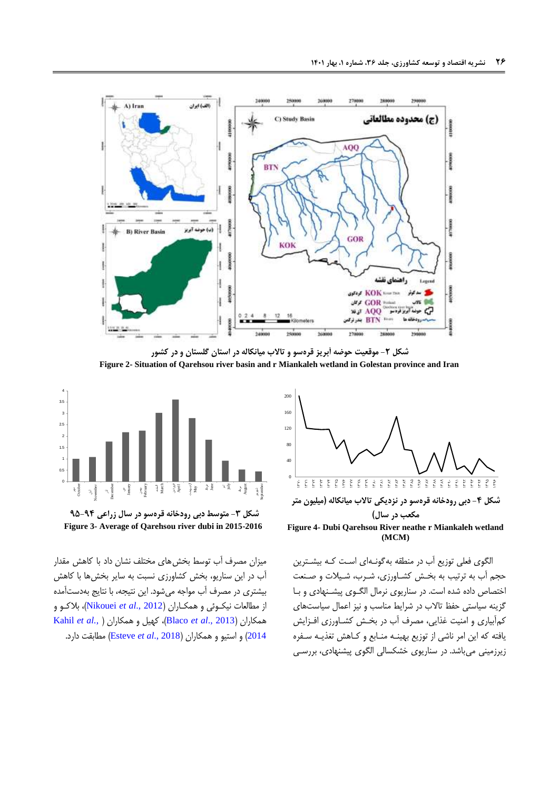

**شکل -2 موقعیت حوضه آبریز قرهسو و تاالب میانکاله در استان گلستان و در کشور Figure 2- Situation of Qarehsou river basin and r Miankaleh wetland in Golestan province and Iran**



<span id="page-9-2"></span>**Figure 4- Dubi Qarehsou River neathe r Miankaleh wetland (MCM)**

الگوی فعلی توزیع آب در منطقه بهگونـه|ی اسـت کـه بیشـترین حجم آب به ترتیب به بخدش کشداورز ی، شدرب، شد یال و صدنعت اختصاص داده شده است. در سناریوی نرمال الگوی پیشـنهادی و بـا گزینه سیاستی حفظ تاالب در شرایط مناسب و نیز اعمال سیاستهای کمآبیاری و امنیت غذایی، مصرف آب در بخش کشـاورزی افـزایش یافته که این امر ناشی از توزیع بهینده مندابع و کداهش تغذیده سدفره زیرزمینی میباشت. در سناریوی خشکسالی الگوی پیشنهادی، بررسدی

<span id="page-9-0"></span>

<span id="page-9-1"></span>**شکل -3 متوسط دبی رودخانه قرهسو در سال زراعی 49-44 Figure 3- Average of Qarehsou river dubi in 2015-2016**

میزان مصرف آب توسط بخشهای مختلف نشان داد با کاهش مقتار آب در این سناریو، بخش کشاورزی نسبت به سایر بخشها با کاهش بیشتری در مصرف آب مواجه میشود. این نتیجه، با نتایج بهدستآمته از مطالعات نیکوئی و همکـاران (Nikouei *et al., 2012)، بلاک*و و [Kahil](#page-16-15) *et al.*[,](#page-16-15) ( همکاران و کهیل ،(Blaco *et al*[., 2013](#page-16-22)( همکاران [2014](#page-16-15)( و استیو و همکاران )2018 .,*al et* [Esteve](#page-16-23) )مطابقت دارد.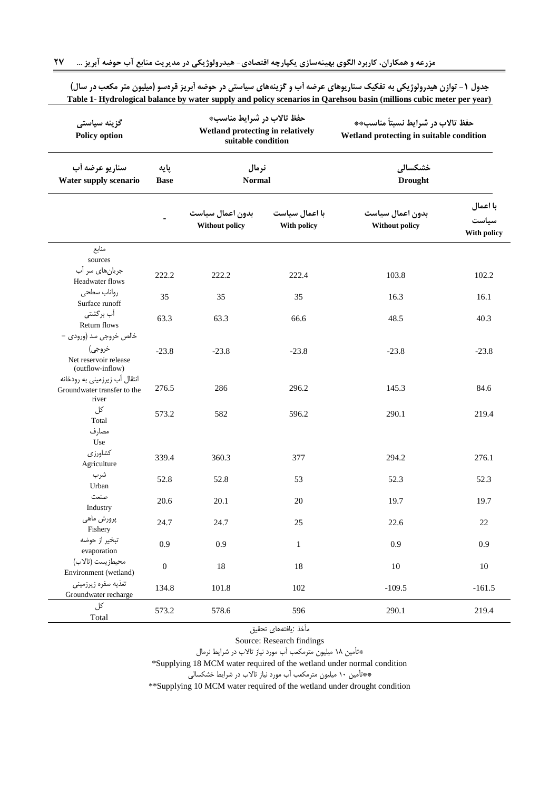| گزینه سیاستی<br><b>Policy option</b>                                  |                     | حفظ تالاب در شرایط مناسب*<br>Wetland protecting in relatively<br>suitable condition |                               | حفظ تالاب در شرايط نسبتاً مناسب**<br>Wetland protecting in suitable condition |                                  |  |
|-----------------------------------------------------------------------|---------------------|-------------------------------------------------------------------------------------|-------------------------------|-------------------------------------------------------------------------------|----------------------------------|--|
| سناريو عرضه أب<br>Water supply scenario                               | پایه<br><b>Base</b> | نرمال<br><b>Normal</b>                                                              |                               | خشكسالى<br><b>Drought</b>                                                     |                                  |  |
|                                                                       |                     | بدون اعمال سياست<br>Without policy                                                  | با اعمال سیاست<br>With policy | بدون اعمال سياست<br><b>Without policy</b>                                     | با اعمال<br>سياست<br>With policy |  |
| منابع<br>sources                                                      |                     |                                                                                     |                               |                                                                               |                                  |  |
| جریان های سر آب<br>Headwater flows                                    | 222.2               | 222.2                                                                               | 222.4                         | 103.8                                                                         | 102.2                            |  |
| رواناب سطحى<br>Surface runoff                                         | 35                  | 35                                                                                  | 35                            | 16.3                                                                          | 16.1                             |  |
| آب برگشتی<br>Return flows<br>خالص خروجي سد (ورودي –                   | 63.3                | 63.3                                                                                | 66.6                          | 48.5                                                                          | 40.3                             |  |
| خروجي)<br>Net reservoir release<br>(outflow-inflow)                   | $-23.8$             | $-23.8$                                                                             | $-23.8$                       | $-23.8$                                                                       | $-23.8$                          |  |
| انتقال آب زیرزمینی به رودخانه<br>Groundwater transfer to the<br>river | 276.5               | 286                                                                                 | 296.2                         | 145.3                                                                         | 84.6                             |  |
| کل<br>Total<br>مصارف                                                  | 573.2               | 582                                                                                 | 596.2                         | 290.1                                                                         | 219.4                            |  |
| Use                                                                   |                     |                                                                                     |                               |                                                                               |                                  |  |
| كشاورزي<br>Agriculture                                                | 339.4               | 360.3                                                                               | 377                           | 294.2                                                                         | 276.1                            |  |
| شرب<br>Urban                                                          | 52.8                | 52.8                                                                                | 53                            | 52.3                                                                          | 52.3                             |  |
| صنعت<br>Industry                                                      | 20.6                | 20.1                                                                                | 20                            | 19.7                                                                          | 19.7                             |  |
| پرورش ماهي<br>Fishery                                                 | 24.7                | 24.7                                                                                | 25                            | 22.6                                                                          | 22                               |  |
| تبخير از حوضه<br>evaporation                                          | 0.9                 | 0.9                                                                                 | $\mathbf{1}$                  | 0.9                                                                           | 0.9                              |  |
| محيطزيست (تالاب)<br>Environment (wetland)                             | $\boldsymbol{0}$    | 18                                                                                  | 18                            | 10                                                                            | $10\,$                           |  |
| تغذيه سفره زيرزميني<br>Groundwater recharge                           | 134.8               | 101.8                                                                               | 102                           | $-109.5$                                                                      | $-161.5$                         |  |
| کل<br>Total                                                           | 573.2               | 578.6                                                                               | 596                           | 290.1                                                                         | 219.4                            |  |

<span id="page-10-0"></span>جدول ۱- توازن هیدرولوژیکی به تفکیک سناریوهای عرضه آب و گزینههای سیاستی در حوضه آبریز قرهسو (میلیون متر مکعب در سال) **Table 1- Hydrological balance by water supply and policy scenarios in Qarehsou basin (millions cubic meter per year)**

> مأخذ :یافتههای تحقیق Source: Research findings

\*تأمین 15 میلیون مترمکعب آب مورد نیاز تاالب در شرایط نرمال

\*Supplying 18 MCM water required of the wetland under normal condition

\*\*تأمین 17 میلیون مترمکعب آب مورد نیاز تاالب در شرایط خشکسالی

\*\*Supplying 10 MCM water required of the wetland under drought condition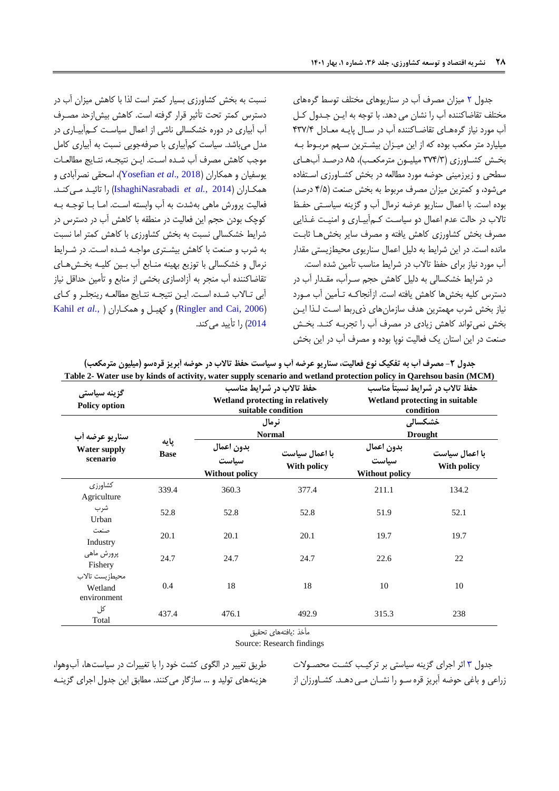جتول [2](#page-11-0) میزان مصرف آب در سناریوهای مختلف توسط گرههای مختلف تقاضاکننته آب را نشان می دهت. با توجه به ایدن جدتول کدل آب مورد نیاز گرههدای تقاضداکننته آب در سدال پایده معدادل 030/0 میلیارد متر مکعب بوده که از این میدزان بیشدترین سدهم مربدوط بده بخدش کشداورزی )300/3 میلیدون مترمکعدب(، 50 درصدت آبهدای سطحی و زیرزمینی حوضه مورد مطالعه در بخش کشداورزی اسدتفاده میشود، و کمترین میزان مصرف مربوط به بخش صنعت )0/0 درصت( بوده است. با اعمال سناریو عرضه نرمال آب و گزینه سیاسدتی حفدظ تاالب در حالت عتم اعمال دو سیاسدت کدم آبیداری و امنیدت غدذایی مصرف بخش کشاورزی کاهش یافته و مصرف سایر بخشهدا ثابدت مانته است. در این شرایط به دلیل اعمال سناریوی محیطزیستی مقتار آب مورد نیاز برای حفظ تاالب در شرایط مناسب تأمین شته است.

در شرایط خشکسالی به دلیل کاهش حجم سدر آب، مقدتار آب در دسترس کلیه بخشها کاهش یافته است. ازآنجاکده تدأمین آب مدورد نیاز بخش شرب مهمترین هتف سازمانهای ذیربط اسدت لدذا ایدن بخش نمی تواند کاهش زیادی در مصرف آب را تجربـه کنـد. بخـش صنعت در این استان یک فعالیت نوپا بوده و مصرف آب در این بخش

نسبت به بخش کشاورزی بسیار کمتر است لذا با کاهش میزان آب در دسترس کمتر تحت تأثیر قرار گرفته است. کاهش بیشازحت مصدرف آب آبیاری در دوره خشکسالی ناشی از اعمال سیاسدت کدم آبیداری در متل میباشت. سیاست کمآبیاری با صرفهجویی نسبت به آبیاری کامل موجب کاهش مصرف آب شده است. ایـن نتیجـه، نتـایج مطالعـات یوسفیان و همکاران )2018 .,*al et* [Yosefian](#page-18-1))، اسحقی نصرآبادی و همکداران ) 2014 *.*,*al et* [IshaghiNasrabadi](#page-16-24) )را تائیدت مد یکندت . فعالیت پرورش ماهی بهشت به آب وابسته اسدت. امدا بدا توجده بده کوچک بودن حجم این فعالیت در منطقه با کاهش آب در دسترس در شرایط خشکسالی نسبت به بخش کشاورزی با کاهش کمتر اما نسبت به شرب و صنعت با کاهش بیشدتری مواجده شدته اسدت. در شدرایط نرمال و خشکسالی با توزیع بهینه مندابع آب بدین کلیده بخدش هدای تقاضاکننته آب منجر به آزادسازی بخشی از منابع و تأمین حتاقل نیاز آبی تالاب شده است. ایـن نتیجـه نتـایج مطالعـه رینجلـر و کـای [Kahil](#page-16-15) *et al.*, [\(](#page-16-15) همکداران و کهیدل و( [Ringler and Cai, 2006](#page-17-7)( [2014](#page-16-15)( را تأییت میکنت.

<span id="page-11-0"></span>

|                                                   |                     | Table 2- Water use by kinds of activity, water supply scenario and wetland protection policy in Qarehsou basin (MCM) | حفظ تالاب در شرایط مناسب                               |                                                                                |                               |  |
|---------------------------------------------------|---------------------|----------------------------------------------------------------------------------------------------------------------|--------------------------------------------------------|--------------------------------------------------------------------------------|-------------------------------|--|
| گزينه سياستي<br><b>Policy option</b>              |                     |                                                                                                                      | Wetland protecting in relatively<br>suitable condition | حفظ تالاب در شرايط نسبتاً مناسب<br>Wetland protecting in suitable<br>condition |                               |  |
| سناريو عرضه أب<br><b>Water supply</b><br>scenario |                     |                                                                                                                      | نرمال<br><b>Normal</b>                                 | خشكسالى<br><b>Drought</b>                                                      |                               |  |
|                                                   | پایه<br><b>Base</b> | بدون اعمال<br>سیاست<br><b>Without policy</b>                                                                         | با اعمال سیاست<br>With policy                          | بدون اعمال<br>۔<br>سیاست<br><b>Without policy</b>                              | با اعمال سیاست<br>With policy |  |
| كشاورزى<br>Agriculture                            | 339.4               | 360.3                                                                                                                | 377.4                                                  | 211.1                                                                          | 134.2                         |  |
| شرب<br>Urban                                      | 52.8                | 52.8                                                                                                                 | 52.8                                                   | 51.9                                                                           | 52.1                          |  |
| صنعت<br>Industry                                  | 20.1                | 20.1                                                                                                                 | 20.1                                                   | 19.7                                                                           | 19.7                          |  |
| پرورش ماهي<br>Fishery                             | 24.7                | 24.7                                                                                                                 | 24.7                                                   | 22.6                                                                           | 22                            |  |
| محيطزيست تالاب<br>Wetland<br>environment          | 0.4                 | 18                                                                                                                   | 18                                                     | 10                                                                             | 10                            |  |
| کل<br>Total                                       | 437.4               | 476.1                                                                                                                | 492.9                                                  | 315.3                                                                          | 238                           |  |

جدول ۲- مصرف أب به تفکیک نوع فعالیت، سناریو عرضه أب و سیاست حفظ تالاب در حوضه أبریز قرهسو (میلیون مترمکعب)

مأخذ :یافتههای تحقیق

Source: Research findings

طریق تغییر در الگوی کشت خود را با تغییرات در سیاستها، آبوهوا، هزینههای تولید و ... سازگار میکنند. مطابق این جدول اجرای گزینـه جتول [3](#page-13-0) اثر اجرای گزینه سیاستی بر ترکیدب کشدت محصدوال زراعی و باغی حوضه آبریز قره سدو را نشدان مدی دهدت . کشداورزان از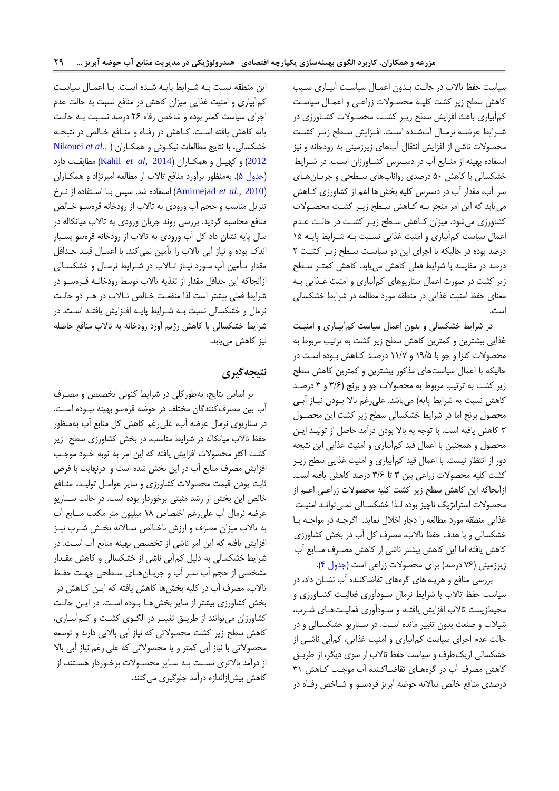سیاست حفظ تاالب در حالدت بدتون اعمدال سیاسدت آبیداری سدبب کاهش سطح زیر کشت کلیـه محصـولات زراعـی و اعمـال سیاسـت کمآبیاری باعث افزایش سطح زیـر کشـت محصـولات کشـاورزی در شدرایط عرضده نرمدال آبشدته اسدت. افدزایش سدطح زیدر کشدت محصوال ناشی از افزایش انتقال آبهای زیرزمینی به رودخانه و نیز استفاده بهینه از مندابع آب در دسدترس کشداورزان اسدت . در شدرایط خشکسالی با کاهش 07 درصتی روانابهای سدطحی و جریدان هدای سر آب، مقتار آب در دسترس کلیه بخشها اعم از کشاورزی کداهش مییابت که این امر منجر بده کداهش سدطح زید ر کشدت محصدوال کشاورزی میشود. میزان کداهش سدطح زیدر کشدت در حالدت عدتم اعمال سیاست کمآبیاری و امنیت غذایی نسبت به شرایط پایه ١۵ درصت بوده در حالیکه با اجرای این دو سیاسدت سدطح زیدر کشدت 2 درصت در مقایسه با شرایط فعلی کاهش مییابت. کاهش کمتدر سدطح زیر کشت در صور اعمال سناریوهای کمآبیاری و امنیت غدذایی بده معنای حفظ امنیت غذایی در منطقه مورد مطالعه در شرایط خشکسالی است.

در شرایط خشکسالی و بتون اعمال سیاست کمآبیداری و امنیدت غذایی بیشترین و کمترین کاهش سطح زیر کشت به ترتیب مربوط به محصولات کلزا و جو با ۱۹/۵ و ۱۱/۷ درصد کاهش بوده است در حالیکه با اعمال سیاستهای مذکور بیشترین و کمترین کاهش سطح زیر کشت به ترتیب مربوط به محصولات جو و برنج (٣/۶ و ٣ درصد کاهش نسبت به شرایط پایه) میباشد. علیرغم بالا بـودن نیـاز آبـی محصول برنج اما در شرایط خشکسالی سطح زیر کشت این محصدول 3 کاهش یافته است. با توجه به باال بودن درآمت حاصل از تولیدت ایدن محصول و همچنین با اعمال قیت کمآبیاری و امنیت غذایی این نتیجه دور از انتظار نیست. با اعمال قیت کمآبیاری و امنیت غذایی سطح زیدر کشت کلیه محصولات زراعی بین ۳ تا ۳/۶ درصد کاهش یافته است. ازآنجاکه این کاهش سطح زیر کشت کلیه محصوال زراعدی اعدم از محصولات استراتژیک ناچیز بوده لـذا خشکسـالی نمـیتوانـد امنیـت غذایی منطقه مورد مطالعه را دچار اخالل نمایت. اگرچده در مواجده بدا خشکسالی و با هتف حفظ تاالب، مصرف کل آب در بخش کشاورزی کاهش یافته اما این کاهش بیشتر ناشی از کاهش مصدرف مندابع آب زیرزمینی (۷۶ درصد) برای محصولات زراعی است (جدول ۴).

بررسی منافع و هزینههای گرههای تقاضاکننته آب نشدان داد، در سیاست حفظ تاالب با شرایط نرمال سدودآور ی فعالیدت کشداورز ی و محیطزیست تالاب افزایش یافتـه و سـودآوری فعالیـتهـای شـرب، شیال و صنعت بتون تغییر مانته اسدت. در سدنار یو خشکسدال ی و در حالت عتم اجرای سیاست کمآبیاری و امنیت غذایی، کمآبی ناشدی از خشکسالی ازیکطرف و سیاست حفظ تاالب از سوی دیگر، از طریدق کاهش مصرف آب در گرههای تقاضاکننده آب موجب کاهش ٣١ درصدی منافع خالص سالانه حوضه آبریز قرهسـو و شـاخص رفـاه در

این منطقه نسبت بده شدرایط پایده شدته اسدت . بدا اعمدال سیاسدت کمآبیاری و امنیت غذایی میزان کاهش در منافع نسبت به حالت عتم اجرای سیاست کمتر بوده و شاخص رفاه ۲۶ درصد نسبت به حالت پایه کاهش یافته اسدت. کداهش در رفداه و مندافع خدال در نتیجده خشکسالی، با نتایج مطالعات نیکوئی و همکـاران ( .Nikouei et al [2012](#page-17-10)( و کهیدل و همکداران )[2014 ,](#page-16-15)*al et* Kahil )مطابقدت دارد [\)جتول 0\(](#page-15-1). بهمنظور برآورد منافع تاالب از مطالعه امیرنژاد و همکداران )2010 .,*al et* [Amirnejad](#page-16-13) )استفاده شت. سپس بدا اسدتفاده از ندرخ تنزیل مناسب و حجم آب ورودی به تاالب از رودخانه قرهسدو خدال منافع محاسبه گردیت. بررسی رونت جریان ورودی به تاالب میانکاله در سال پایه نشان داد کل آب ورودی به تاالب از رودخانه قرهسو بسدیار انتک بوده و نیاز آبی تاالب را تأمین نمیکنت. با اعمدال قیدت حدتاقل مقدار تـأمین آب مـورد نیـاز تـالاب در شـرایط نرمـال و خشکسـالی ازآنجاکه این حتاقل مقتار از تغذیه تاالب توسط رودخانده قدره سدو در شرایط فعلی بیشتر است لذا منفعت خـالص تـالاب در هـر دو حالـت نرمال و خشکسالی نسبت بده شدرایط پایده افدزایش یافتده اسدت. در شرایط خشکسالی با کاهش رژیم آورد رودخانه به تاالب منافع حاصله نیز کاهش مییابت.

## **نتیجهگیری**

بر اساس نتایج، بهطورکلی در شرایط کنونی تخصی و مصدرف آب بین مصرفکننتگان مختلف در حوضه قرهسو بهینه نبدوده اسدت . در سناریوی نرمال عرضه آب، علیرغم کاهش کل منابع آب بهمنظور حفظ تاالب میانکاله در شرایط مناسب، در بخش کشاورزی سطح زیر کشت اکثر محصولات افزایش یافته که این امر به نوبه خـود موجـب افزایش مصرف منابع آب در این بخش شته است و درنهایت با فرض ثابت بودن قیمت محصولات کشاورزی و سایر عوامـل تولیـد، منـافع خالص این بخش از رشد مثبتی برخوردار بوده است. در حالت سناریو عرضه نرمال آب علیرغم اختصاص 15 میلیون متر مکعب مندابع آب به تالاب میزان مصرف و ارزش ناخـالص سـالانه بخـش شـرب نیـز افزایش یافته که این امر ناشی از تخصیص بهینه منابع آب است. در شرایط خشکسالی به دلیل کمآبی ناشی از خشکسالی و کاهش مقدتار مشخصی از حجم آب سدر آب و جریدان هدای سدطحی جهدت حفدظ تاالب، مصرف آب در کلیه بخشها کاهش یافته که ایدن کداهش در بخش کشاورزی بیشتر از سایر بخش هـا بـوده اسـت. در ایـن حالـت کشاورزان میتواننت از طریدق تغییدر در الگدوی کشدت و کدم آبیدار ی، کاهش سطح زیر کشت محصوالتی که نیاز آبی باالیی دارنت و توسعه محصوالتی با نیاز آبی کمتر و یا محصوالتی که علی رغم نیاز آبی باال از درآمد بالاتری نسبت بـه سـایر محصـولات برخـوردار هسـتند، از کاهش بیشازانتازه درآمت جلوگیری میکننت.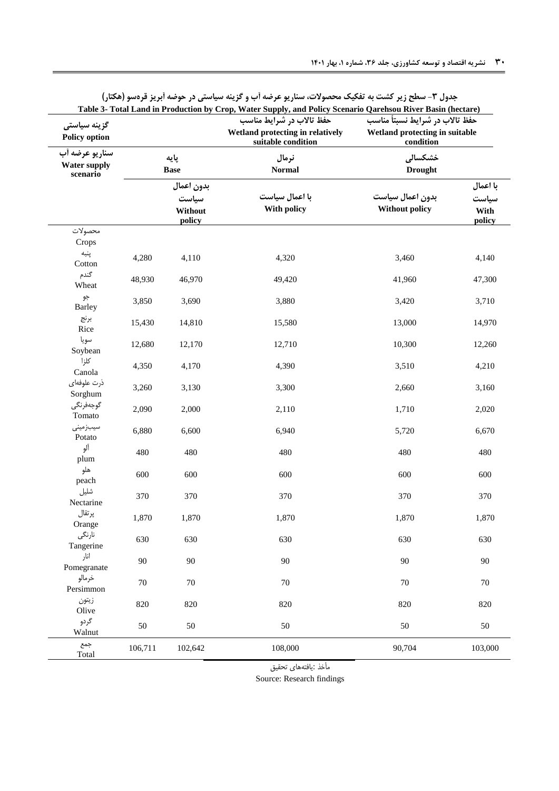<span id="page-13-0"></span>

| گزینه سیاستی<br><b>Policy option</b>              |                                          |                     | حفظ تالاب در شرایط مناسب<br>Wetland protecting in relatively<br>suitable condition | Table 3- Total Land in Production by Crop, Water Supply, and Policy Scenario Qarehsou River Basin (hectare)<br>حفظ تالاب در شرايط نسبتاً مناسب<br>Wetland protecting in suitable<br>condition |         |  |
|---------------------------------------------------|------------------------------------------|---------------------|------------------------------------------------------------------------------------|-----------------------------------------------------------------------------------------------------------------------------------------------------------------------------------------------|---------|--|
| سناريو عرضه أب<br><b>Water supply</b><br>scenario |                                          | پایه<br><b>Base</b> | نرمال<br><b>Normal</b>                                                             | خشكسالى<br><b>Drought</b>                                                                                                                                                                     |         |  |
|                                                   | بدون اعمال<br>سياست<br>Without<br>policy |                     | با اعمال سیاست<br>With policy                                                      | با اعمال<br>بدون اعمال سياست<br>سياست<br><b>Without policy</b><br>With<br>policy                                                                                                              |         |  |
| محصولات                                           |                                          |                     |                                                                                    |                                                                                                                                                                                               |         |  |
| Crops<br>پنبه<br>Cotton                           | 4,280                                    | 4,110               | 4,320                                                                              | 3,460                                                                                                                                                                                         | 4,140   |  |
| گندم<br>Wheat                                     | 48,930                                   | 46,970              | 49,420                                                                             | 41,960                                                                                                                                                                                        | 47,300  |  |
| جو<br><b>Barley</b>                               | 3,850                                    | 3,690               | 3,880                                                                              | 3,420                                                                                                                                                                                         | 3,710   |  |
| برنج<br>Rice                                      | 15,430                                   | 14,810              | 15,580                                                                             | 13,000                                                                                                                                                                                        | 14,970  |  |
| سويا<br>Soybean                                   | 12,680                                   | 12,170              | 12,710                                                                             | 10,300                                                                                                                                                                                        | 12,260  |  |
| كلزا<br>Canola                                    | 4,350                                    | 4,170               | 4,390                                                                              | 3,510                                                                                                                                                                                         | 4,210   |  |
| ذرت علوفهاى<br>Sorghum                            | 3,260                                    | 3,130               | 3,300                                                                              | 2,660                                                                                                                                                                                         | 3,160   |  |
| گوجەفرنگى<br>Tomato                               | 2,090                                    | 2,000               | 2,110                                                                              | 1,710                                                                                                                                                                                         | 2,020   |  |
| سيبزمينى<br>Potato                                | 6,880                                    | 6,600               | 6,940                                                                              | 5,720                                                                                                                                                                                         | 6,670   |  |
| آلو<br>plum                                       | 480                                      | 480                 | 480                                                                                | 480                                                                                                                                                                                           | 480     |  |
| هلو<br>peach                                      | 600                                      | 600                 | 600                                                                                | 600                                                                                                                                                                                           | 600     |  |
| شليل<br>Nectarine                                 | 370                                      | 370                 | 370                                                                                | 370                                                                                                                                                                                           | 370     |  |
| پرتقال<br>Orange                                  | 1,870                                    | 1,870               | 1,870                                                                              | 1,870                                                                                                                                                                                         | 1,870   |  |
| نارنگى<br>Tangerine                               | 630                                      | 630                 | 630                                                                                | 630                                                                                                                                                                                           | 630     |  |
| انار<br>Pomegranate                               | 90                                       | $90\,$              | 90                                                                                 | $90\,$                                                                                                                                                                                        | 90      |  |
| خرمالو<br>Persimmon                               | $70\,$                                   | $70\,$              | $70\,$                                                                             | $70\,$                                                                                                                                                                                        | $70\,$  |  |
| زيتون<br>Olive                                    | 820                                      | 820                 | 820                                                                                | 820                                                                                                                                                                                           | 820     |  |
| گردو<br>Walnut                                    | 50                                       | 50                  | 50                                                                                 | 50                                                                                                                                                                                            | 50      |  |
| جمع<br>Total                                      | 106,711                                  | 102,642             | 108,000                                                                            | 90,704                                                                                                                                                                                        | 103,000 |  |

**جدول -3 سطح زیر کشت به تفکیک محصوالت، سناریو عرضه آب و گزینه سیاستی در حوضه آبریز قرهسو )هکتار(**

مأخذ :یافتههای تحقیق

Source: Research findings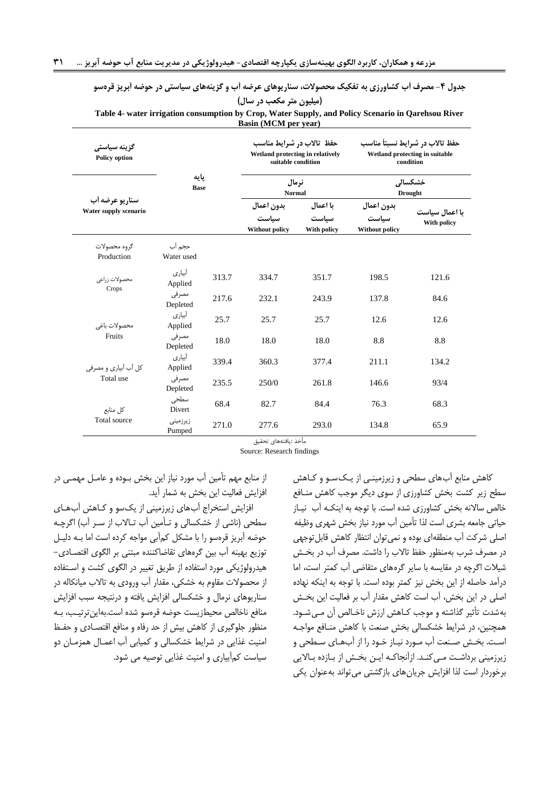| Table 4- water irrigation consumption by Crop, Water Supply, and Policy Scenario in Qarehsou River |                      |       | Basin (MCM per year)                                                                                         |                                  |                                                                                                            |                               |
|----------------------------------------------------------------------------------------------------|----------------------|-------|--------------------------------------------------------------------------------------------------------------|----------------------------------|------------------------------------------------------------------------------------------------------------|-------------------------------|
| گزینه سیاستی<br><b>Policy option</b>                                                               | يايه<br><b>Base</b>  |       | حفظ تالاب در شرایط مناسب<br>Wetland protecting in relatively<br>suitable condition<br>نرمال<br><b>Normal</b> |                                  | حفظ تالاب در شرايط نسبتأ مناسب<br>Wetland protecting in suitable<br>condition<br>خشكسالى<br><b>Drought</b> |                               |
|                                                                                                    |                      |       |                                                                                                              |                                  |                                                                                                            |                               |
| سناريو عرضه أب<br>Water supply scenario                                                            |                      |       | بدون اعمال<br>سياست<br>Without policy                                                                        | با اعمال<br>سياست<br>With policy | بدون اعمال<br>سياست<br>Without policy                                                                      | یا اعمال سیاست<br>With policy |
| گروه محصولات<br>Production                                                                         | حجم آب<br>Water used |       |                                                                                                              |                                  |                                                                                                            |                               |
| محصولات زراعى<br>Crops                                                                             | أبياري<br>Applied    | 313.7 | 334.7                                                                                                        | 351.7                            | 198.5                                                                                                      | 121.6                         |
|                                                                                                    | مصرفى<br>Depleted    | 217.6 | 232.1                                                                                                        | 243.9                            | 137.8                                                                                                      | 84.6                          |
| محصولات باغى<br>Fruits                                                                             | أبياري<br>Applied    | 25.7  | 25.7                                                                                                         | 25.7                             | 12.6                                                                                                       | 12.6                          |
|                                                                                                    | مصرفى<br>Depleted    | 18.0  | 18.0                                                                                                         | 18.0                             | 8.8                                                                                                        | 8.8                           |
| کل آب آبیاری و مصرفی<br>Total use                                                                  | آبیار ی<br>Applied   | 339.4 | 360.3                                                                                                        | 377.4                            | 211.1                                                                                                      | 134.2                         |
|                                                                                                    | مصرفى<br>Depleted    | 235.5 | 250/0                                                                                                        | 261.8                            | 146.6                                                                                                      | 93/4                          |
| كل منابع<br>Total source                                                                           | سطحى<br>Divert       | 68.4  | 82.7                                                                                                         | 84.4                             | 76.3                                                                                                       | 68.3                          |
|                                                                                                    | زيرزميني<br>Pumped   | 271.0 | 277.6                                                                                                        | 293.0                            | 134.8                                                                                                      | 65.9                          |

<span id="page-14-0"></span>**جدول -4 مصرف آب کشاورزی به تفکیک محصوالت، سناریوهای عرضه آب و گزینههای سیاستی در حوضه آبریز قرهسو )میلیون متر مکعب در سال(**

مأ ذ :یافتههای تحقیق

Source: Research findings

کاهش منابع آبهای سطحی و زیرزمیندی از ید کسدو و کداهش سطح زیر کشت بخش کشاورزی از سوی دیگر موجب کاهش مندافع خالص سالانه بخش کشاورزی شده است. با توجه به اینکـه آب نیـاز حیاتی جامعه بشری است لذا تأمین آب مورد نیاز بخش شهری وظیفه اصلی شرکت آب منطقهای بوده و نمیتوان انتظار کاهش قابلتوجهی در مصرف شرب بهمنظور حفظ تاالب را داشت. مصرف آب در بخدش شیال اگرچه در مقایسه با سایر گرههای متقاضی آب کمتر است، اما درآمت حاصله از این بخش نیز کمتر بوده است. با توجه به اینکه نهاده اصلی در این بخش، آب است کاهش مقتار آب بر فعالیت این بخدش به شدت تأثیر گذاشته و موجب کـاهش ارزش ناخـالص آن مـی شـود. همچنین، در شرایط خشکسالی بخش صنعت با کاهش مندافع مواجده است. بخش صنعت آب مـورد نیـاز خـود را از آبهـای سـطحی و زیرزمینی برداشت مـی کنـد. ازآنجاکـه ایـن بخـش از بـازده بـالایی برخوردار است لذا افزایش جریانهای بازگشتی میتوانت بهعنوان یکی

از منابع مهم تأمین آب مورد نیاز این بخش بدوده و عامدل مهمد ی در افزایش فعالیت این بخش به شمار آیت.

افزایش استخراج آبهای زیرزمینی از یکسو و کداهش آبهدای سطحی (ناشی از خشکسالی و تـأمین آب تـالاب از سـر آب) اگرچـه حوضه آبریز قرهسو را با مشکل کمآبی مواجه کرده است اما بد ه دلیدل توزیع بهینه آب بین گرههای تقاضاکننته مبتنی بر الگوی اقتصداد ی- هیترولوژیکی مورد استفاده از طریق تغییر در الگوی کشت و اسدتفاده از محصولات مقاوم به خشکی، مقدار آب ورودی به تالاب میانکاله در سناریوهای نرمال و خشکسالی افزایش یافته و درنتیجه سبب افزایش منافع ناخالص محیطزیست حوضه قرهسو شده است.بهاین ترتیب، بـه منظور جلوگیری از کاهش بیش از حت رفاه و منافع اقتصدادی و حفدظ امنیت غذایی در شرایط خشکسالی و کمیابی آب اعمدال همزمدان دو سیاست کمآبیاری و امنیت غذایی توصیه می شود.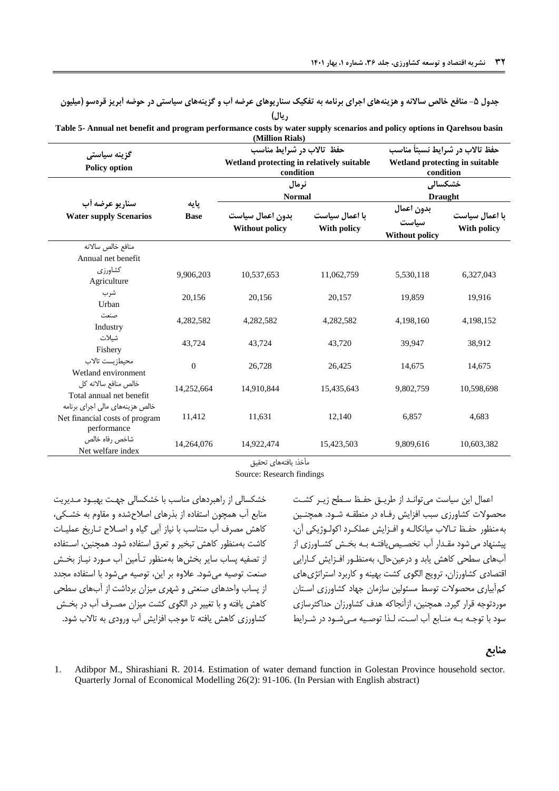<span id="page-15-1"></span>جدول **۵- منافع خالص سالانه و هزینههای اجرای برنامه به تفکیک سناریوهای عرضه آب و گزینههای سیاستی در حوضه آبریز قرهسو (میلیون ریال(**

**Table 5- Annual net benefit and program performance costs by water supply scenarios and policy options in Qarehsou basin (Million Rials)**

| گزینه سیاستی<br><b>Policy option</b>                                             |                     | حفظ تالاب در شرایط مناسب<br>Wetland protecting in relatively suitable<br>condition |                               | حفظ تالاب در شرايط نسبتاً مناسب<br>Wetland protecting in suitable<br>condition |                               |  |
|----------------------------------------------------------------------------------|---------------------|------------------------------------------------------------------------------------|-------------------------------|--------------------------------------------------------------------------------|-------------------------------|--|
|                                                                                  |                     | نرمال<br><b>Normal</b>                                                             |                               | خشكسالى<br><b>Draught</b>                                                      |                               |  |
| سناريو عرضه أب<br><b>Water supply Scenarios</b>                                  | پایه<br><b>Base</b> | بدون اعمال سياست<br><b>Without policy</b>                                          | با اعمال سیاست<br>With policy | بدون اعمال<br>سىاست<br><b>Without policy</b>                                   | با اعمال سیاست<br>With policy |  |
| منافع خالص سالانه<br>Annual net benefit                                          |                     |                                                                                    |                               |                                                                                |                               |  |
| كشاورزي<br>Agriculture                                                           | 9,906,203           | 10,537,653                                                                         | 11,062,759                    | 5,530,118                                                                      | 6,327,043                     |  |
| شرب<br>Urban                                                                     | 20,156              | 20,156                                                                             | 20,157                        | 19,859                                                                         | 19,916                        |  |
| صنعت<br>Industry                                                                 | 4,282,582           | 4,282,582                                                                          | 4,282,582                     | 4,198,160                                                                      | 4,198,152                     |  |
| شىلات<br>Fishery                                                                 | 43,724              | 43,724                                                                             | 43,720                        | 39,947                                                                         | 38,912                        |  |
| محبط; بست تالاب<br>Wetland environment                                           | $\mathbf{0}$        | 26,728                                                                             | 26,425                        | 14,675                                                                         | 14,675                        |  |
| خالص منافع سالانه كل<br>Total annual net benefit                                 | 14,252,664          | 14,910,844                                                                         | 15,435,643                    | 9,802,759                                                                      | 10,598,698                    |  |
| خالص هزینههای مالی اجرای برنامه<br>Net financial costs of program<br>performance | 11,412              | 11,631                                                                             | 12,140                        | 6,857                                                                          | 4,683                         |  |
| شاخص رفاه خالص<br>Net welfare index                                              | 14,264,076          | 14,922,474                                                                         | 15,423,503                    | 9,809,616                                                                      | 10,603,382                    |  |

مأخذ: یافتههای تحقیق

Source: Research findings

خشکسالی از راهبردهای مناسب با خشکسالی جهدت بهبدود مدتیریت منابع آب همچون استفاده از بذرهای اصال شته و مقاوم به خشدکی، کاهش مصرف آب متناسب با نیاز آبی گیاه و اصلاح تـاریخ عملیـات کاشت بهمنظور کاهش تبخیر و تعرق استفاده شود. همچنین، اسدتفاده از تصفیه پساب سایر بخش ها بهمنظور تـأمین آب مـورد نیـاز بخـش صنعت توصیه میشود. عالوه بر این، توصیه میشود با استفاده مجتد از پساب واحتهای صنعتی و شهری میزان برداشت از آبهای سطحی کاهش یافته و با تغییر در الگوی کشت میزان مصدرف آب در بخدش کشاورزی کاهش یافته تا موجب افزایش آب ورودی به تاالب شود.

اعمال این سیاست میتواندت از طریدق حفدظ سدطح زیدر کشدت محصوال کشاورزی سبب افزایش رفداه در منطقده شدود. همچندین بهمنظور حفدظ تداالب میانکالده و افدزایش عملکدرد اکولدوژیکی آن، پیشنهاد می شود مقـدار آب تخصـیص یافتـه بـه بخـش کشـاورزی از آبهای سطحی کاهش یابت و درعینحال، بهمنظدور افدزایش کدارایی اقتصادی کشاورزان، ترویج الگوی کشت بهینه و کاربرد استراتژیهای کم آبیاری محصولات توسط مسئولین سازمان جهاد کشاورزی استان موردتوجه قرار گیرد. همچنین، ازآنجاکه هتف کشاورزان حتاکثرسازی سود با توجـه بـه منـابع آب اسـت، لـذا توصـیه مـی شـود در شـرایط

## **منابع**

<span id="page-15-0"></span>1. Adibpor M., Shirashiani R. 2014. Estimation of water demand function in Golestan Province household sector. Quarterly Jornal of Economical Modelling 26(2): 91-106. (In Persian with English abstract)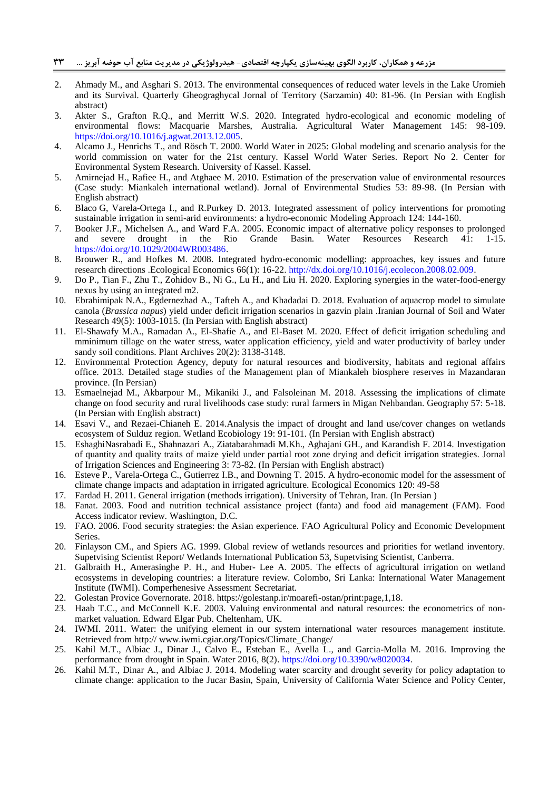- <span id="page-16-5"></span>2. Ahmady M., and Asghari S. 2013. The environmental consequences of reduced water levels in the Lake Uromieh and its Survival. Quarterly Gheograghycal Jornal of Territory (Sarzamin) 40: 81-96. (In Persian with English abstract)
- <span id="page-16-11"></span>3. Akter S., Grafton R.Q., and Merritt W.S. 2020. Integrated hydro-ecological and economic modeling of environmental flows: Macquarie Marshes, Australia. Agricultural Water Management 145: 98-109. [https://doi.org/10.1016/j.agwat.2013.12.005.](https://doi.org/10.1016/j.agwat.2013.12.005)
- <span id="page-16-4"></span>4. Alcamo J., Henrichs T., and Rösch T. 2000. World Water in 2025: Global modeling and scenario analysis for the world commission on water for the 21st century. Kassel World Water Series. Report No 2. Center for Environmental System Research. University of Kassel. Kassel.
- <span id="page-16-13"></span>5. Amirnejad H., Rafiee H., and Atghaee M. 2010. Estimation of the preservation value of environmental resources (Case study: Miankaleh international wetland). Jornal of Envirenmental Studies 53: 89-98. (In Persian with English abstract)
- <span id="page-16-22"></span>6. Blaco G, Varela-Ortega I., and R.Purkey D. 2013. Integrated assessment of policy interventions for promoting sustainable irrigation in semi-arid environments: a hydro-economic Modeling Approach 124: 144-160.
- <span id="page-16-18"></span>7. Booker J.F., Michelsen A., and Ward F.A. 2005. Economic impact of alternative policy responses to prolonged and severe drought in the Rio Grande Basin. Water Resources Research 41: 1-15. [https://doi.org/10.1029/2004WR003486.](https://doi.org/10.1029/2004WR003486)
- <span id="page-16-0"></span>8. Brouwer R., and Hofkes M. 2008. Integrated hydro-economic modelling: approaches, key issues and future research directions .Ecological Economics 66(1): 16-22. [http://dx.doi.org/10.1016/j.ecolecon.2008.02.009.](http://dx.doi.org/10.1016/j.ecolecon.2008.02.009)
- <span id="page-16-1"></span>9. Do P., Tian F., Zhu T., Zohidov B., Ni G., Lu H., and Liu H. 2020. Exploring synergies in the water-food-energy nexus by using an integrated m2.
- <span id="page-16-17"></span>10. Ebrahimipak N.A., Egdernezhad A., Tafteh A., and Khadadai D. 2018. Evaluation of aquacrop model to simulate canola (*Brassica napus*) yield under deficit irrigation scenarios in gazvin plain .Iranian Journal of Soil and Water Research 49(5): 1003-1015. (In Persian with English abstract)
- <span id="page-16-16"></span>11. El-Shawafy M.A., Ramadan A., El-Shafie A., and El-Baset M. 2020. Effect of deficit irrigation scheduling and mminimum tillage on the water stress, water application efficiency, yield and water productivity of barley under sandy soil conditions. Plant Archives 20(2): 3138-3148.
- <span id="page-16-12"></span>12. Environmental Protection Agency, deputy for natural resources and biodiversity, habitats and regional affairs office. 2013. Detailed stage studies of the Management plan of Miankaleh biosphere reserves in Mazandaran province. (In Persian)
- <span id="page-16-10"></span>13. Esmaelnejad M., Akbarpour M., Mikaniki J., and Falsoleinan M. 2018. Assessing the implications of climate change on food security and rural livelihoods case study: rural farmers in Migan Nehbandan. Geography 57: 5-18. (In Persian with English abstract)
- <span id="page-16-6"></span>14. Esavi V., and Rezaei-Chianeh E. 2014.Analysis the impact of drought and land use/cover changes on wetlands ecosystem of Sulduz region. Wetland Ecobiology 19: 91-101. (In Persian with English abstract)
- <span id="page-16-24"></span>15. EshaghiNasrabadi E., Shahnazari A., Ziatabarahmadi M.Kh., Aghajani GH., and Karandish F. 2014. Investigation of quantity and quality traits of maize yield under partial root zone drying and deficit irrigation strategies. Jornal of Irrigation Sciences and Engineering 3: 73-82. (In Persian with English abstract)
- <span id="page-16-23"></span>16. Esteve P., Varela-Ortega C., Gutierrez I.B., and Downing T. 2015. A hydro-economic model for the assessment of climate change impacts and adaptation in irrigated agriculture. Ecological Economics 120: 49-58
- <span id="page-16-21"></span>17. Fardad H. 2011. General irrigation (methods irrigation). University of Tehran, Iran. (In Persian )
- <span id="page-16-8"></span>18. Fanat. 2003. Food and nutrition technical assistance project (fanta) and food aid management (FAM). Food Access indicator review. Washington, D.C.
- <span id="page-16-7"></span>19. FAO. 2006. Food security strategies: the Asian experience. FAO Agricultural Policy and Economic Development Series.
- <span id="page-16-2"></span>20. Finlayson CM., and Spiers AG. 1999. Global review of wetlands resources and priorities for wetland inventory. Supetvising Scientist Report/ Wetlands International Publication 53, Supetvising Scientist, Canberra.
- <span id="page-16-3"></span>21. Galbraith H., Amerasinghe P. H., and Huber- Lee A. 2005. The effects of agricultural irrigation on wetland ecosystems in developing countries: a literature review. Colombo, Sri Lanka: International Water Management Institute (IWMI). Comperhenesive Assessment Secretariat.
- <span id="page-16-14"></span>22. Golestan Provice Governorate. 2018. https://golestanp.ir/moarefi-ostan/print:page,1,18.
- <span id="page-16-20"></span>23. Haab T.C., and McConnell K.E. 2003. Valuing environmental and natural resources: the econometrics of nonmarket valuation. Edward Elgar Pub. Cheltenham, UK.
- <span id="page-16-9"></span>24. IWMI. 2011. Water: the unifying element in our system international water resources management institute. Retrieved from http:// www.iwmi.cgiar.org/Topics/Climate\_Change/
- <span id="page-16-19"></span>25. Kahil M.T., Albiac J., Dinar J., Calvo E., Esteban E., Avella L., and Garcia-Molla M. 2016. Improving the performance from drought in Spain. Water 2016, 8(2). [https://doi.org/10.3390/w8020034.](https://doi.org/10.3390/w8020034)
- <span id="page-16-15"></span>26. Kahil M.T., Dinar A., and Albiac J. 2014. Modeling water scarcity and drought severity for policy adaptation to climate change: application to the Jucar Basin, Spain, University of California Water Science and Policy Center,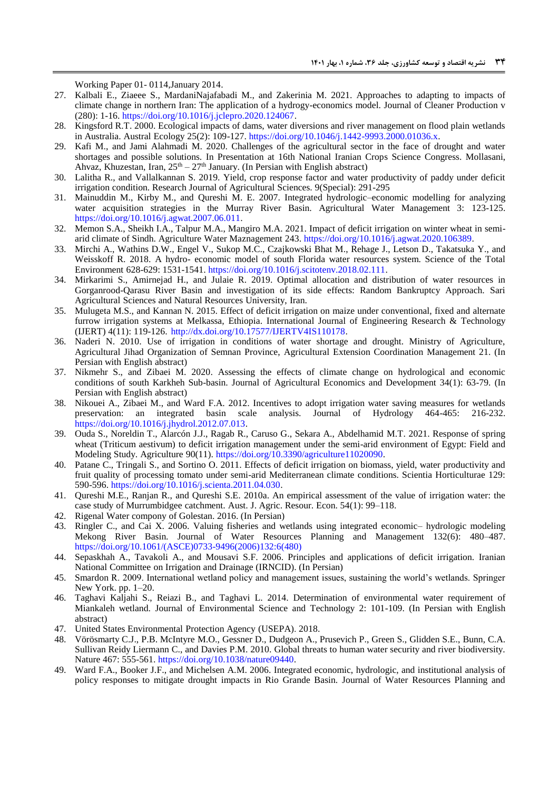Working Paper 01- 0114,January 2014.

- <span id="page-17-12"></span>27. Kalbali E., Ziaeee S., MardaniNajafabadi M., and Zakerinia M. 2021. Approaches to adapting to impacts of climate change in northern Iran: The application of a hydrogy-economics model. Journal of Cleaner Production v (280): 1-16. [https://doi.org/10.1016/j.jclepro.2020.124067.](https://doi.org/10.1016/j.jclepro.2020.124067)
- <span id="page-17-9"></span>28. Kingsford R.T. 2000. Ecological impacts of dams, water diversions and river management on flood plain wetlands in Australia. Austral Ecology 25(2): 109-127. [https://doi.org/10.1046/j.1442-9993.2000.01036.x.](https://doi.org/10.1046/j.1442-9993.2000.01036.x)
- <span id="page-17-6"></span>29. Kafi M., and Jami Alahmadi M. 2020. Challenges of the agricultural sector in the face of drought and water shortages and possible solutions. In Presentation at 16th National Iranian Crops Science Congress. Mollasani, Ahvaz, Khuzestan, Iran,  $25<sup>th</sup> - 27<sup>th</sup>$  January. (In Persian with English abstract)
- <span id="page-17-17"></span>30. Lalitha R., and Vallalkannan S. 2019. Yield, crop response factor and water productivity of paddy under deficit irrigation condition. Research Journal of Agricultural Sciences. 9(Special): 291-295
- <span id="page-17-2"></span>31. Mainuddin M., Kirby M., and Qureshi M. E. 2007. Integrated hydrologic–economic modelling for analyzing water acquisition strategies in the Murray River Basin. Agricultural Water Management 3: 123-125. [https://doi.org/10.1016/j.agwat.2007.06.011.](https://doi.org/10.1016/j.agwat.2007.06.011)
- <span id="page-17-15"></span>32. Memon S.A., Sheikh I.A., Talpur M.A., Mangiro M.A. 2021. Impact of deficit irrigation on winter wheat in semiarid climate of Sindh. Agriculture Water Maznagement 243. [https://doi.org/10.1016/j.agwat.2020.106389.](https://doi.org/10.1016/j.agwat.2020.106389)
- <span id="page-17-4"></span>33. Mirchi A., Wathins D.W., Engel V., Sukop M.C., Czajkowski Bhat M., Rehage J., Letson D., Takatsuka Y., and Weisskoff R. 2018. A hydro- economic model of south Florida water resources system. Science of the Total Environment 628-629: 1531-1541[. https://doi.org/10.1016/j.scitotenv.2018.02.111.](https://doi.org/10.1016/j.scitotenv.2018.02.111)
- <span id="page-17-14"></span>34. Mirkarimi S., Amirnejad H., and Julaie R. 2019. Optimal allocation and distribution of water resources in Gorganrood-Qarasu River Basin and investigation of its side effects: Random Bankruptcy Approach. Sari Agricultural Sciences and Natural Resources University, Iran.
- <span id="page-17-19"></span>35. Mulugeta M.S., and Kannan N. 2015. Effect of deficit irrigation on maize under conventional, fixed and alternate furrow irrigation systems at Melkassa, Ethiopia. International Journal of Engineering Research & Technology (IJERT) 4(11): 119-126. [http://dx.doi.org/10.17577/IJERTV4IS110178.](http://dx.doi.org/10.17577/IJERTV4IS110178)
- <span id="page-17-20"></span>36. Naderi N. 2010. Use of irrigation in conditions of water shortage and drought. Ministry of Agriculture, Agricultural Jihad Organization of Semnan Province, Agricultural Extension Coordination Management 21. (In Persian with English abstract)
- <span id="page-17-11"></span>37. Nikmehr S., and Zibaei M. 2020. Assessing the effects of climate change on hydrological and economic conditions of south Karkheh Sub-basin. Journal of Agricultural Economics and Development 34(1): 63-79. (In Persian with English abstract)
- <span id="page-17-10"></span>38. Nikouei A., Zibaei M., and Ward F.A. 2012. Incentives to adopt irrigation water saving measures for wetlands preservation: an integrated basin scale analysis. Journal of Hydrology 464-465: 216-232. [https://doi.org/10.1016/j.jhydrol.2012.07.013.](https://doi.org/10.1016/j.jhydrol.2012.07.013)
- <span id="page-17-16"></span>39. Ouda S., Noreldin T., Alarcón J.J., Ragab R., Caruso G., Sekara A., Abdelhamid M.T. 2021. Response of spring wheat (Triticum aestivum) to deficit irrigation management under the semi-arid environment of Egypt: Field and Modeling Study. Agriculture 90(11). [https://doi.org/10.3390/agriculture11020090.](https://doi.org/10.3390/agriculture11020090)
- <span id="page-17-18"></span>40. Patane C., Tringali S., and Sortino O. 2011. Effects of deficit irrigation on biomass, yield, water productivity and fruit quality of processing tomato under semi-arid Mediterranean climate conditions. Scientia Horticulturae 129: 590-596. [https://doi.org/10.1016/j.scienta.2011.04.030.](https://doi.org/10.1016/j.scienta.2011.04.030)
- <span id="page-17-8"></span>41. Qureshi M.E., Ranjan R., and Qureshi S.E. 2010a. An empirical assessment of the value of irrigation water: the case study of Murrumbidgee catchment. Aust. J. Agric. Resour. Econ. 54(1): 99–118.
- <span id="page-17-22"></span>42. Rigenal Water compony of Golestan. 2016. (In Persian)
- <span id="page-17-7"></span>43. Ringler C., and Cai X. 2006. Valuing fisheries and wetlands using integrated economic– hydrologic modeling Mekong River Basin. Journal of Water Resources Planning and Management 132(6): 480–487. [https://doi.org/10.1061/\(ASCE\)0733-9496\(2006\)132:6\(480\)](https://doi.org/10.1061/(ASCE)0733-9496(2006)132:6(480))
- <span id="page-17-1"></span>44. Sepaskhah A., Tavakoli A., and Mousavi S.F. 2006. Principles and applications of deficit irrigation. Iranian National Committee on Irrigation and Drainage (IRNCID). (In Persian)
- <span id="page-17-21"></span>45. Smardon R. 2009. International wetland policy and management issues, sustaining the world's wetlands. Springer New York. pp. 1–20.
- <span id="page-17-0"></span>46. Taghavi Kaljahi S., Reiazi B., and Taghavi L. 2014. Determination of environmental water requirement of Miankaleh wetland. Journal of Environmental Science and Technology 2: 101-109. (In Persian with English abstract)
- <span id="page-17-13"></span>47. United States Environmental Protection Agency (USEPA). 2018.
- <span id="page-17-5"></span>48. Vörösmarty C.J., P.B. McIntyre M.O., Gessner D., Dudgeon A., Prusevich P., Green S., Glidden S.E., Bunn, C.A. Sullivan Reidy Liermann C., and Davies P.M. 2010. Global threats to human water security and river biodiversity. Nature 467: 555-561. [https://doi.org/10.1038/nature09440.](https://doi.org/10.1038/nature09440)
- <span id="page-17-3"></span>49. Ward F.A., Booker J.F., and Michelsen A.M. 2006. Integrated economic, hydrologic, and institutional analysis of policy responses to mitigate drought impacts in Rio Grande Basin. Journal of Water Resources Planning and